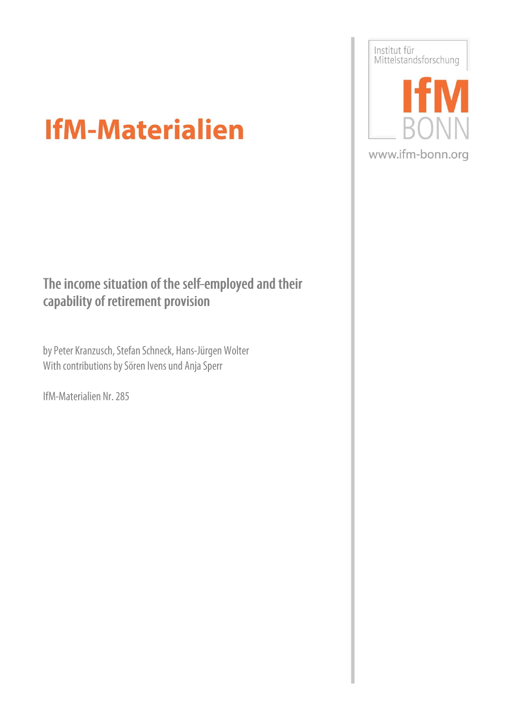# Institut für<br>Mittelstandsforschung  $\boldsymbol{\mathcal{N}}$ www.ifm-bonn.org

## **IfM-Materialien**

## The income situation of the self-employed and their capability of retirement provision

by Peter Kranzusch, Stefan Schneck, Hans-Jürgen Wolter With contributions by Sören Ivens und Anja Sperr

IfM-Materialien Nr. 285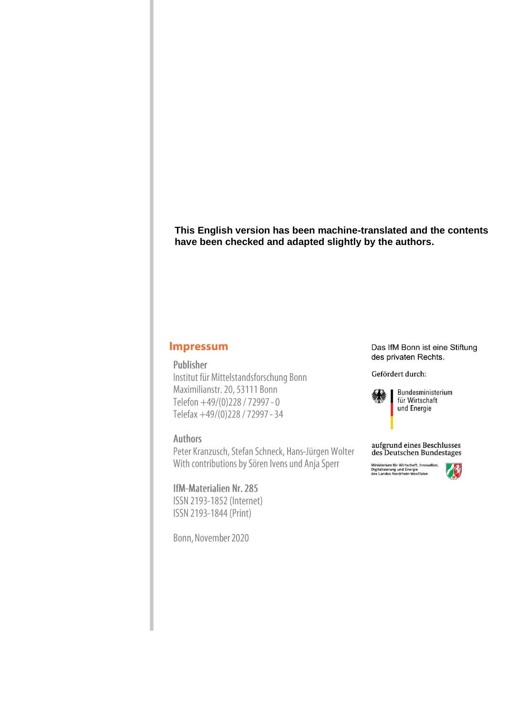**This English version has been machine-translated and the contents have been checked and adapted slightly by the authors.**

#### **Impressum**

#### Publisher

Institut für Mittelstandsforschung Bonn Maximilianstr. 20, 53111 Bonn Telefon +49/(0)228 / 72997 - 0 Telefax +49/(0)228 / 72997 - 34

#### **Authors**

Peter Kranzusch, Stefan Schneck, Hans-Jürgen Wolter With contributions by Sören Ivens und Anja Sperr

#### **IfM-Materialien Nr. 285**

ISSN 2193-1852 (Internet) ISSN 2193-1844 (Print)

Bonn, November 2020

Das IfM Bonn ist eine Stiftung des privaten Rechts.

Gefördert durch:



Bundesministerium für Wirtschaft und Energie



Ministerium für Wirtschaft, Innovation,<br>Digitalisierung und Energie<br>des Landes Nordrhein-Westfalen

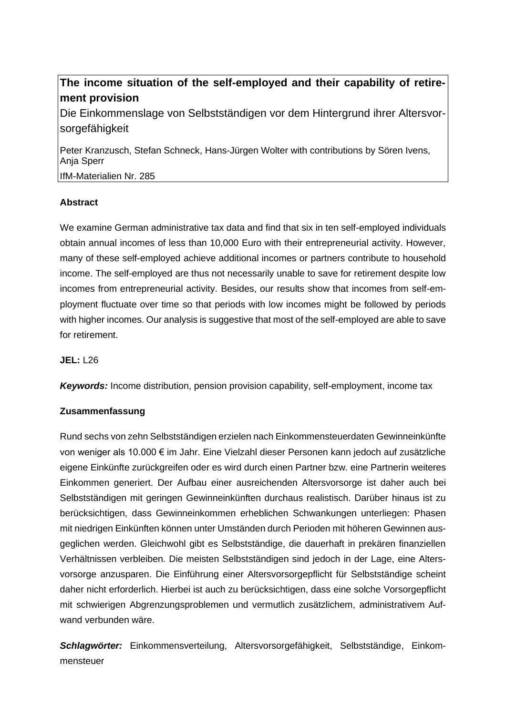#### **The income situation of the self-employed and their capability of retirement provision**

Die Einkommenslage von Selbstständigen vor dem Hintergrund ihrer Altersvorsorgefähigkeit

Peter Kranzusch, Stefan Schneck, Hans-Jürgen Wolter with contributions by Sören Ivens, Anja Sperr

IfM-Materialien Nr. 285

#### **Abstract**

We examine German administrative tax data and find that six in ten self-employed individuals obtain annual incomes of less than 10,000 Euro with their entrepreneurial activity. However, many of these self-employed achieve additional incomes or partners contribute to household income. The self-employed are thus not necessarily unable to save for retirement despite low incomes from entrepreneurial activity. Besides, our results show that incomes from self-employment fluctuate over time so that periods with low incomes might be followed by periods with higher incomes. Our analysis is suggestive that most of the self-employed are able to save for retirement.

**JEL:** L26

*Keywords:* Income distribution, pension provision capability, self-employment, income tax

#### **Zusammenfassung**

Rund sechs von zehn Selbstständigen erzielen nach Einkommensteuerdaten Gewinneinkünfte von weniger als 10.000 € im Jahr. Eine Vielzahl dieser Personen kann jedoch auf zusätzliche eigene Einkünfte zurückgreifen oder es wird durch einen Partner bzw. eine Partnerin weiteres Einkommen generiert. Der Aufbau einer ausreichenden Altersvorsorge ist daher auch bei Selbstständigen mit geringen Gewinneinkünften durchaus realistisch. Darüber hinaus ist zu berücksichtigen, dass Gewinneinkommen erheblichen Schwankungen unterliegen: Phasen mit niedrigen Einkünften können unter Umständen durch Perioden mit höheren Gewinnen ausgeglichen werden. Gleichwohl gibt es Selbstständige, die dauerhaft in prekären finanziellen Verhältnissen verbleiben. Die meisten Selbstständigen sind jedoch in der Lage, eine Altersvorsorge anzusparen. Die Einführung einer Altersvorsorgepflicht für Selbstständige scheint daher nicht erforderlich. Hierbei ist auch zu berücksichtigen, dass eine solche Vorsorgepflicht mit schwierigen Abgrenzungsproblemen und vermutlich zusätzlichem, administrativem Aufwand verbunden wäre.

*Schlagwörter:* Einkommensverteilung, Altersvorsorgefähigkeit, Selbstständige, Einkommensteuer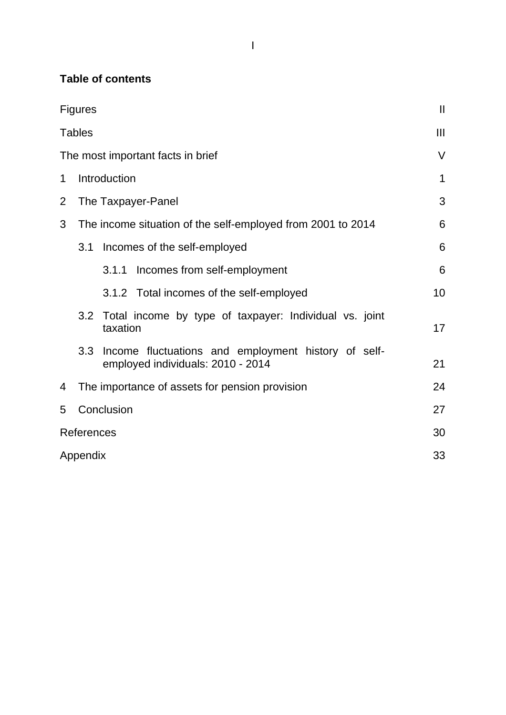#### **Table of contents**

|                | <b>Figures</b>                                                                                  | $\mathbf{I}$ |
|----------------|-------------------------------------------------------------------------------------------------|--------------|
|                | <b>Tables</b>                                                                                   | Ш            |
|                | The most important facts in brief                                                               | $\vee$       |
| 1              | Introduction                                                                                    | $\mathbf 1$  |
| $\overline{2}$ | The Taxpayer-Panel                                                                              | 3            |
| 3              | The income situation of the self-employed from 2001 to 2014                                     | 6            |
|                | 3.1<br>Incomes of the self-employed                                                             | 6            |
|                | Incomes from self-employment<br>3.1.1                                                           | 6            |
|                | 3.1.2 Total incomes of the self-employed                                                        | 10           |
|                | 3.2 Total income by type of taxpayer: Individual vs. joint<br>taxation                          | 17           |
|                | Income fluctuations and employment history of self-<br>3.3<br>employed individuals: 2010 - 2014 | 21           |
| 4              | The importance of assets for pension provision                                                  | 24           |
| 5              | Conclusion                                                                                      | 27           |
|                | <b>References</b>                                                                               | 30           |
|                | Appendix                                                                                        | 33           |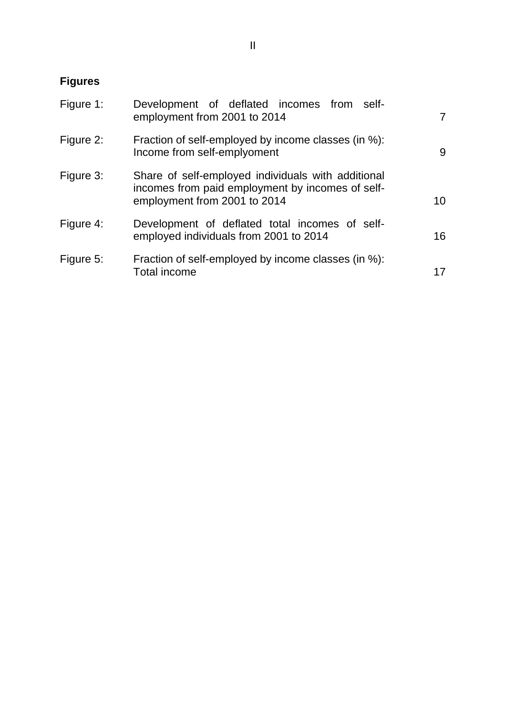## <span id="page-5-0"></span>**Figures**

| Figure 1: | Development of deflated incomes from self-<br>employment from 2001 to 2014                                                             | 7  |
|-----------|----------------------------------------------------------------------------------------------------------------------------------------|----|
| Figure 2: | Fraction of self-employed by income classes (in %):<br>Income from self-emplyoment                                                     | 9  |
| Figure 3: | Share of self-employed individuals with additional<br>incomes from paid employment by incomes of self-<br>employment from 2001 to 2014 | 10 |
| Figure 4: | Development of deflated total incomes of self-<br>employed individuals from 2001 to 2014                                               | 16 |
| Figure 5: | Fraction of self-employed by income classes (in %):<br><b>Total income</b>                                                             | 17 |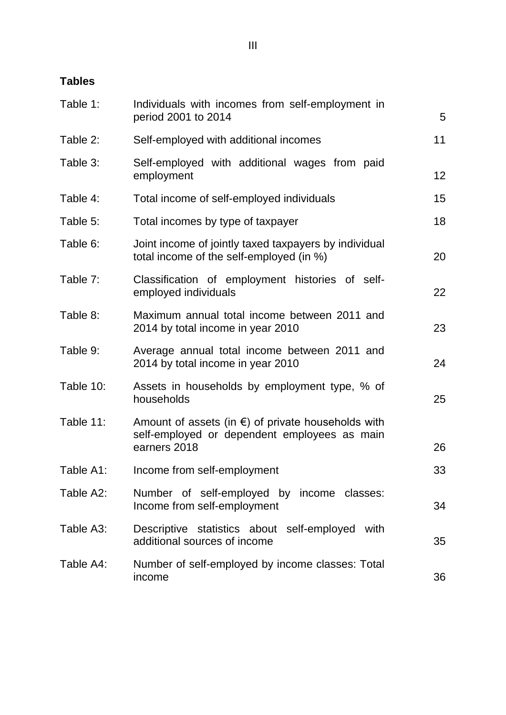## <span id="page-6-0"></span>**Tables**

| Table 1:  | Individuals with incomes from self-employment in<br>period 2001 to 2014                                                      | 5  |
|-----------|------------------------------------------------------------------------------------------------------------------------------|----|
| Table 2:  | Self-employed with additional incomes                                                                                        | 11 |
| Table 3:  | Self-employed with additional wages from paid<br>employment                                                                  | 12 |
| Table 4:  | Total income of self-employed individuals                                                                                    | 15 |
| Table 5:  | Total incomes by type of taxpayer                                                                                            | 18 |
| Table 6:  | Joint income of jointly taxed taxpayers by individual<br>total income of the self-employed (in %)                            | 20 |
| Table 7:  | Classification of employment histories of self-<br>employed individuals                                                      | 22 |
| Table 8:  | Maximum annual total income between 2011 and<br>2014 by total income in year 2010                                            | 23 |
| Table 9:  | Average annual total income between 2011 and<br>2014 by total income in year 2010                                            | 24 |
| Table 10: | Assets in households by employment type, % of<br>households                                                                  | 25 |
| Table 11: | Amount of assets (in $\epsilon$ ) of private households with<br>self-employed or dependent employees as main<br>earners 2018 | 26 |
| Table A1: | Income from self-employment                                                                                                  | 33 |
| Table A2: | Number of self-employed by income classes:<br>Income from self-employment                                                    | 34 |
| Table A3: | Descriptive statistics about self-employed<br>with<br>additional sources of income                                           | 35 |
| Table A4: | Number of self-employed by income classes: Total<br>income                                                                   | 36 |
|           |                                                                                                                              |    |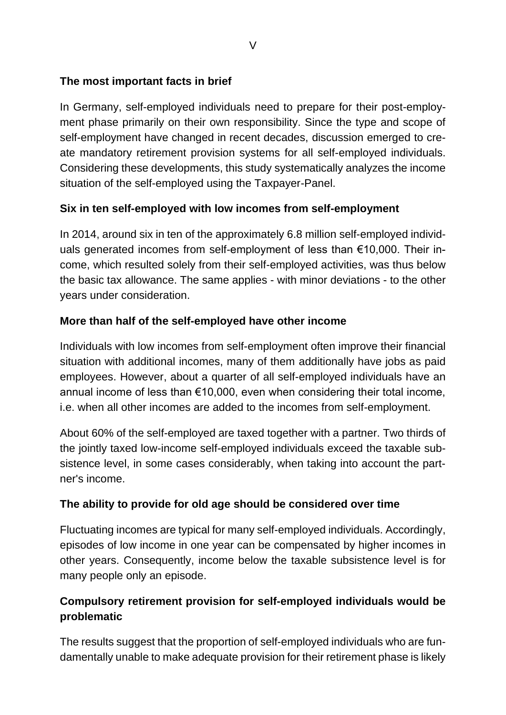#### <span id="page-8-0"></span>**The most important facts in brief**

In Germany, self-employed individuals need to prepare for their post-employment phase primarily on their own responsibility. Since the type and scope of self-employment have changed in recent decades, discussion emerged to create mandatory retirement provision systems for all self-employed individuals. Considering these developments, this study systematically analyzes the income situation of the self-employed using the Taxpayer-Panel.

#### **Six in ten self-employed with low incomes from self-employment**

In 2014, around six in ten of the approximately 6.8 million self-employed individuals generated incomes from self-employment of less than €10,000. Their income, which resulted solely from their self-employed activities, was thus below the basic tax allowance. The same applies - with minor deviations - to the other years under consideration.

#### **More than half of the self-employed have other income**

Individuals with low incomes from self-employment often improve their financial situation with additional incomes, many of them additionally have jobs as paid employees. However, about a quarter of all self-employed individuals have an annual income of less than €10,000, even when considering their total income, i.e. when all other incomes are added to the incomes from self-employment.

About 60% of the self-employed are taxed together with a partner. Two thirds of the jointly taxed low-income self-employed individuals exceed the taxable subsistence level, in some cases considerably, when taking into account the partner's income.

#### **The ability to provide for old age should be considered over time**

Fluctuating incomes are typical for many self-employed individuals. Accordingly, episodes of low income in one year can be compensated by higher incomes in other years. Consequently, income below the taxable subsistence level is for many people only an episode.

#### **Compulsory retirement provision for self-employed individuals would be problematic**

The results suggest that the proportion of self-employed individuals who are fundamentally unable to make adequate provision for their retirement phase is likely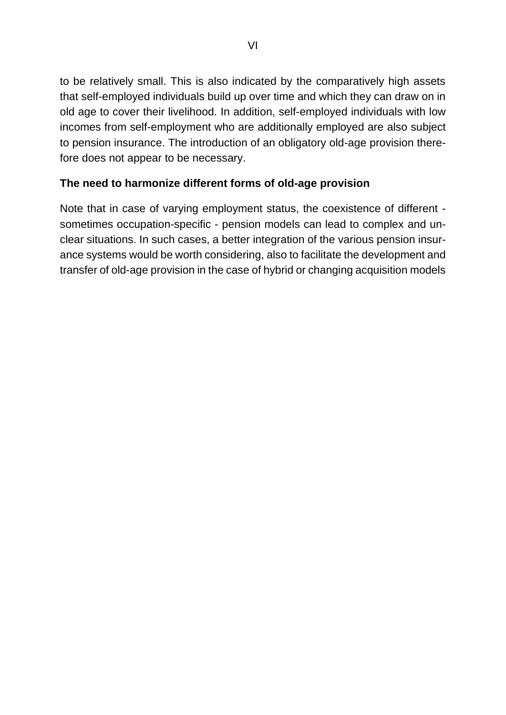to be relatively small. This is also indicated by the comparatively high assets that self-employed individuals build up over time and which they can draw on in old age to cover their livelihood. In addition, self-employed individuals with low incomes from self-employment who are additionally employed are also subject to pension insurance. The introduction of an obligatory old-age provision therefore does not appear to be necessary.

#### **The need to harmonize different forms of old-age provision**

Note that in case of varying employment status, the coexistence of different sometimes occupation-specific - pension models can lead to complex and unclear situations. In such cases, a better integration of the various pension insurance systems would be worth considering, also to facilitate the development and transfer of old-age provision in the case of hybrid or changing acquisition models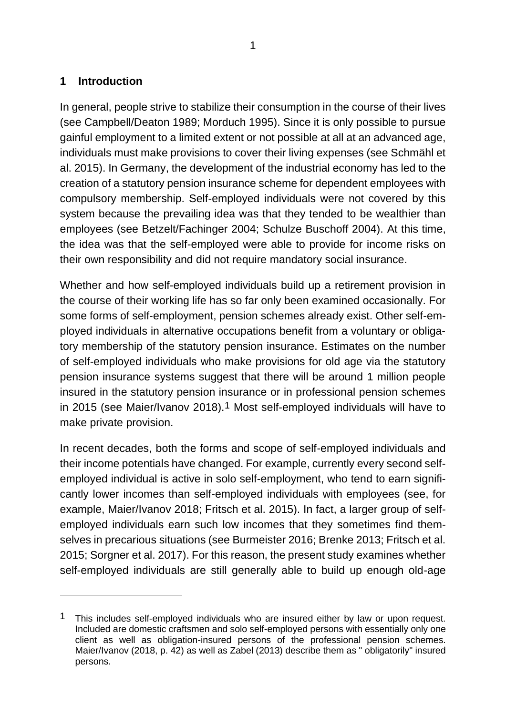#### <span id="page-10-0"></span>**1 Introduction**

In general, people strive to stabilize their consumption in the course of their lives (see Campbell/Deaton 1989; Morduch 1995). Since it is only possible to pursue gainful employment to a limited extent or not possible at all at an advanced age, individuals must make provisions to cover their living expenses (see Schmähl et al. 2015). In Germany, the development of the industrial economy has led to the creation of a statutory pension insurance scheme for dependent employees with compulsory membership. Self-employed individuals were not covered by this system because the prevailing idea was that they tended to be wealthier than employees (see Betzelt/Fachinger 2004; Schulze Buschoff 2004). At this time, the idea was that the self-employed were able to provide for income risks on their own responsibility and did not require mandatory social insurance.

Whether and how self-employed individuals build up a retirement provision in the course of their working life has so far only been examined occasionally. For some forms of self-employment, pension schemes already exist. Other self-employed individuals in alternative occupations benefit from a voluntary or obligatory membership of the statutory pension insurance. Estimates on the number of self-employed individuals who make provisions for old age via the statutory pension insurance systems suggest that there will be around 1 million people insured in the statutory pension insurance or in professional pension schemes in 2015 (see Maier/Ivanov 2018).1 Most self-employed individuals will have to make private provision.

In recent decades, both the forms and scope of self-employed individuals and their income potentials have changed. For example, currently every second selfemployed individual is active in solo self-employment, who tend to earn significantly lower incomes than self-employed individuals with employees (see, for example, Maier/Ivanov 2018; Fritsch et al. 2015). In fact, a larger group of selfemployed individuals earn such low incomes that they sometimes find themselves in precarious situations (see Burmeister 2016; Brenke 2013; Fritsch et al. 2015; Sorgner et al. 2017). For this reason, the present study examines whether self-employed individuals are still generally able to build up enough old-age

<sup>&</sup>lt;sup>1</sup> This includes self-employed individuals who are insured either by law or upon request. Included are domestic craftsmen and solo self-employed persons with essentially only one client as well as obligation-insured persons of the professional pension schemes. Maier/Ivanov (2018, p. 42) as well as Zabel (2013) describe them as " obligatorily" insured persons.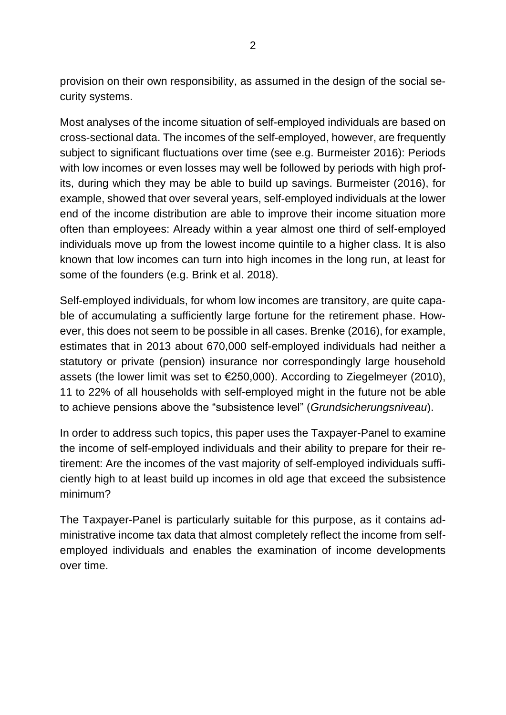provision on their own responsibility, as assumed in the design of the social security systems.

Most analyses of the income situation of self-employed individuals are based on cross-sectional data. The incomes of the self-employed, however, are frequently subject to significant fluctuations over time (see e.g. Burmeister 2016): Periods with low incomes or even losses may well be followed by periods with high profits, during which they may be able to build up savings. Burmeister (2016), for example, showed that over several years, self-employed individuals at the lower end of the income distribution are able to improve their income situation more often than employees: Already within a year almost one third of self-employed individuals move up from the lowest income quintile to a higher class. It is also known that low incomes can turn into high incomes in the long run, at least for some of the founders (e.g. Brink et al. 2018).

Self-employed individuals, for whom low incomes are transitory, are quite capable of accumulating a sufficiently large fortune for the retirement phase. However, this does not seem to be possible in all cases. Brenke (2016), for example, estimates that in 2013 about 670,000 self-employed individuals had neither a statutory or private (pension) insurance nor correspondingly large household assets (the lower limit was set to €250,000). According to Ziegelmeyer (2010), 11 to 22% of all households with self-employed might in the future not be able to achieve pensions above the "subsistence level" (*Grundsicherungsniveau*).

In order to address such topics, this paper uses the Taxpayer-Panel to examine the income of self-employed individuals and their ability to prepare for their retirement: Are the incomes of the vast majority of self-employed individuals sufficiently high to at least build up incomes in old age that exceed the subsistence minimum?

The Taxpayer-Panel is particularly suitable for this purpose, as it contains administrative income tax data that almost completely reflect the income from selfemployed individuals and enables the examination of income developments over time.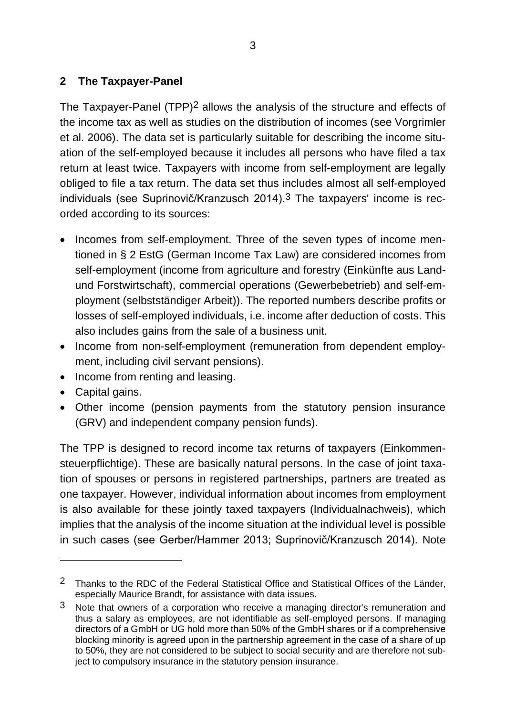#### <span id="page-12-0"></span>**2 The Taxpayer-Panel**

The Taxpayer-Panel (TPP)2 allows the analysis of the structure and effects of the income tax as well as studies on the distribution of incomes (see Vorgrimler et al. 2006). The data set is particularly suitable for describing the income situation of the self-employed because it includes all persons who have filed a tax return at least twice. Taxpayers with income from self-employment are legally obliged to file a tax return. The data set thus includes almost all self-employed individuals (see Suprinovič/Kranzusch 2014).3 The taxpayers' income is recorded according to its sources:

- Incomes from self-employment. Three of the seven types of income mentioned in § 2 EstG (German Income Tax Law) are considered incomes from self-employment (income from agriculture and forestry (Einkünfte aus Landund Forstwirtschaft), commercial operations (Gewerbebetrieb) and self-employment (selbstständiger Arbeit)). The reported numbers describe profits or losses of self-employed individuals, i.e. income after deduction of costs. This also includes gains from the sale of a business unit.
- Income from non-self-employment (remuneration from dependent employment, including civil servant pensions).
- Income from renting and leasing.
- Capital gains.
- Other income (pension payments from the statutory pension insurance (GRV) and independent company pension funds).

The TPP is designed to record income tax returns of taxpayers (Einkommensteuerpflichtige). These are basically natural persons. In the case of joint taxation of spouses or persons in registered partnerships, partners are treated as one taxpayer. However, individual information about incomes from employment is also available for these jointly taxed taxpayers (Individualnachweis), which implies that the analysis of the income situation at the individual level is possible in such cases (see Gerber/Hammer 2013; Suprinovič/Kranzusch 2014). Note

<sup>&</sup>lt;sup>2</sup> Thanks to the RDC of the Federal Statistical Office and Statistical Offices of the Länder, especially Maurice Brandt, for assistance with data issues.

<sup>&</sup>lt;sup>3</sup> Note that owners of a corporation who receive a managing director's remuneration and thus a salary as employees, are not identifiable as self-employed persons. If managing directors of a GmbH or UG hold more than 50% of the GmbH shares or if a comprehensive blocking minority is agreed upon in the partnership agreement in the case of a share of up to 50%, they are not considered to be subject to social security and are therefore not subject to compulsory insurance in the statutory pension insurance.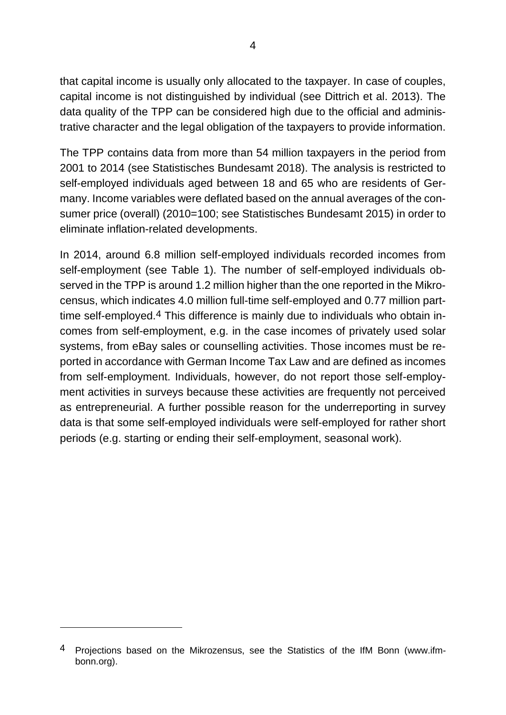that capital income is usually only allocated to the taxpayer. In case of couples, capital income is not distinguished by individual (see Dittrich et al. 2013). The data quality of the TPP can be considered high due to the official and administrative character and the legal obligation of the taxpayers to provide information.

The TPP contains data from more than 54 million taxpayers in the period from 2001 to 2014 (see Statistisches Bundesamt 2018). The analysis is restricted to self-employed individuals aged between 18 and 65 who are residents of Germany. Income variables were deflated based on the annual averages of the consumer price (overall) (2010=100; see Statistisches Bundesamt 2015) in order to eliminate inflation-related developments.

In 2014, around 6.8 million self-employed individuals recorded incomes from self-employment (see Table 1). The number of self-employed individuals observed in the TPP is around 1.2 million higher than the one reported in the Mikrocensus, which indicates 4.0 million full-time self-employed and 0.77 million parttime self-employed.4 This difference is mainly due to individuals who obtain incomes from self-employment, e.g. in the case incomes of privately used solar systems, from eBay sales or counselling activities. Those incomes must be reported in accordance with German Income Tax Law and are defined as incomes from self-employment. Individuals, however, do not report those self-employment activities in surveys because these activities are frequently not perceived as entrepreneurial. A further possible reason for the underreporting in survey data is that some self-employed individuals were self-employed for rather short periods (e.g. starting or ending their self-employment, seasonal work).

<sup>4</sup> Projections based on the Mikrozensus, see the Statistics of the IfM Bonn (www.ifmbonn.org).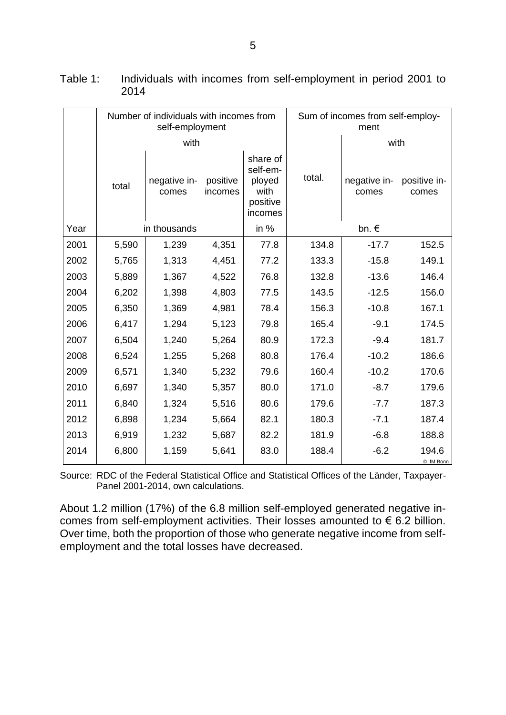|      |                | Number of individuals with incomes from<br>self-employment |                     | Sum of incomes from self-employ-<br>ment                      |        |                       |                       |  |
|------|----------------|------------------------------------------------------------|---------------------|---------------------------------------------------------------|--------|-----------------------|-----------------------|--|
|      |                | with                                                       |                     |                                                               |        | with                  |                       |  |
|      | total          | negative in-<br>comes                                      | positive<br>incomes | share of<br>self-em-<br>ployed<br>with<br>positive<br>incomes | total. | negative in-<br>comes | positive in-<br>comes |  |
| Year |                | in thousands                                               |                     | in %                                                          |        | bn. €                 |                       |  |
| 2001 | 5,590          | 1,239                                                      | 4,351               | 77.8                                                          | 134.8  | $-17.7$               | 152.5                 |  |
| 2002 | 5,765          | 1,313                                                      | 4,451               | 77.2                                                          | 133.3  | $-15.8$               | 149.1                 |  |
| 2003 | 5,889          | 1,367                                                      | 4,522               | 76.8                                                          | 132.8  | $-13.6$               | 146.4                 |  |
| 2004 | 6,202          | 1,398                                                      | 4,803               | 77.5                                                          | 143.5  | $-12.5$               | 156.0                 |  |
| 2005 | 6,350          | 1,369                                                      | 4,981               | 78.4                                                          | 156.3  | $-10.8$               | 167.1                 |  |
| 2006 | 6,417          | 1,294                                                      | 5,123               | 79.8                                                          | 165.4  | $-9.1$                | 174.5                 |  |
| 2007 | 6,504          | 1,240                                                      | 5,264               | 80.9                                                          | 172.3  | $-9.4$                | 181.7                 |  |
| 2008 | 6,524          | 1,255                                                      | 5,268               | 80.8                                                          | 176.4  | $-10.2$               | 186.6                 |  |
| 2009 | 6,571          | 1,340                                                      | 5,232               | 79.6                                                          | 160.4  | $-10.2$               | 170.6                 |  |
| 2010 | 6,697          | 1,340                                                      | 5,357               | 80.0                                                          | 171.0  | $-8.7$                | 179.6                 |  |
| 2011 | 6,840          | 1,324                                                      | 5,516               | 80.6                                                          | 179.6  | $-7.7$                | 187.3                 |  |
| 2012 | 6,898          | 1,234                                                      | 5,664               | 82.1                                                          | 180.3  | $-7.1$                | 187.4                 |  |
| 2013 | 6,919<br>1,232 |                                                            | 5,687               | 82.2                                                          | 181.9  | $-6.8$                | 188.8                 |  |
| 2014 | 6,800          | 1,159                                                      | 5,641               | 83.0                                                          | 188.4  | $-6.2$                | 194.6<br>© IfM Bonn   |  |

| Table 1: |      |  | Individuals with incomes from self-employment in period 2001 to |  |  |
|----------|------|--|-----------------------------------------------------------------|--|--|
|          | 2014 |  |                                                                 |  |  |

Source: RDC of the Federal Statistical Office and Statistical Offices of the Länder, Taxpayer-Panel 2001-2014, own calculations.

About 1.2 million (17%) of the 6.8 million self-employed generated negative incomes from self-employment activities. Their losses amounted to € 6.2 billion. Over time, both the proportion of those who generate negative income from selfemployment and the total losses have decreased.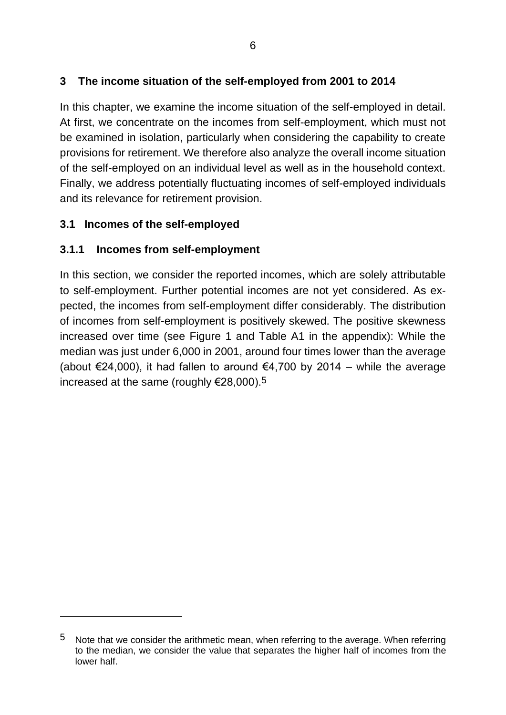#### <span id="page-15-0"></span>**3 The income situation of the self-employed from 2001 to 2014**

In this chapter, we examine the income situation of the self-employed in detail. At first, we concentrate on the incomes from self-employment, which must not be examined in isolation, particularly when considering the capability to create provisions for retirement. We therefore also analyze the overall income situation of the self-employed on an individual level as well as in the household context. Finally, we address potentially fluctuating incomes of self-employed individuals and its relevance for retirement provision.

#### <span id="page-15-1"></span>**3.1 Incomes of the self-employed**

#### <span id="page-15-2"></span>**3.1.1 Incomes from self-employment**

In this section, we consider the reported incomes, which are solely attributable to self-employment. Further potential incomes are not yet considered. As expected, the incomes from self-employment differ considerably. The distribution of incomes from self-employment is positively skewed. The positive skewness increased over time (see Figure 1 and Table A1 in the appendix): While the median was just under 6,000 in 2001, around four times lower than the average (about €24,000), it had fallen to around €4,700 by 2014 – while the average increased at the same (roughly  $\epsilon$ 28,000).<sup>5</sup>

<sup>5</sup> Note that we consider the arithmetic mean, when referring to the average. When referring to the median, we consider the value that separates the higher half of incomes from the lower half.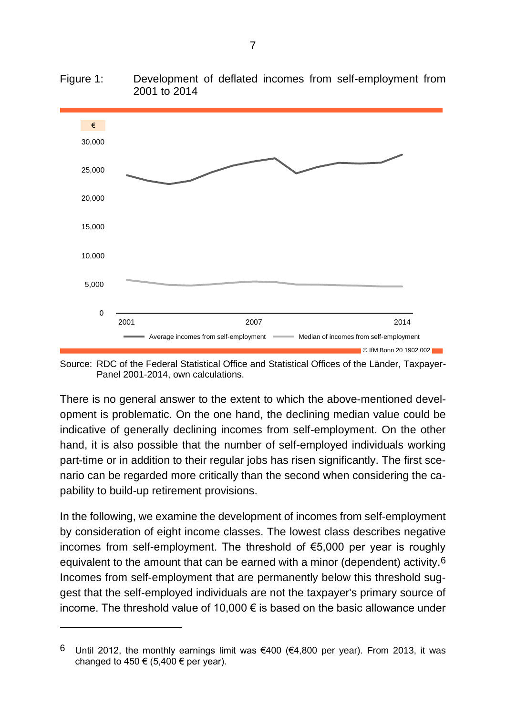

Figure 1: Development of deflated incomes from self-employment from 2001 to 2014

Source: RDC of the Federal Statistical Office and Statistical Offices of the Länder, Taxpayer-Panel 2001-2014, own calculations.

There is no general answer to the extent to which the above-mentioned development is problematic. On the one hand, the declining median value could be indicative of generally declining incomes from self-employment. On the other hand, it is also possible that the number of self-employed individuals working part-time or in addition to their regular jobs has risen significantly. The first scenario can be regarded more critically than the second when considering the capability to build-up retirement provisions.

In the following, we examine the development of incomes from self-employment by consideration of eight income classes. The lowest class describes negative incomes from self-employment. The threshold of €5,000 per year is roughly equivalent to the amount that can be earned with a minor (dependent) activity.6 Incomes from self-employment that are permanently below this threshold suggest that the self-employed individuals are not the taxpayer's primary source of income. The threshold value of 10,000 € is based on the basic allowance under

<sup>6</sup> Until 2012, the monthly earnings limit was €400 (€4,800 per year). From 2013, it was changed to  $450 \in (5,400 \in \text{per year}).$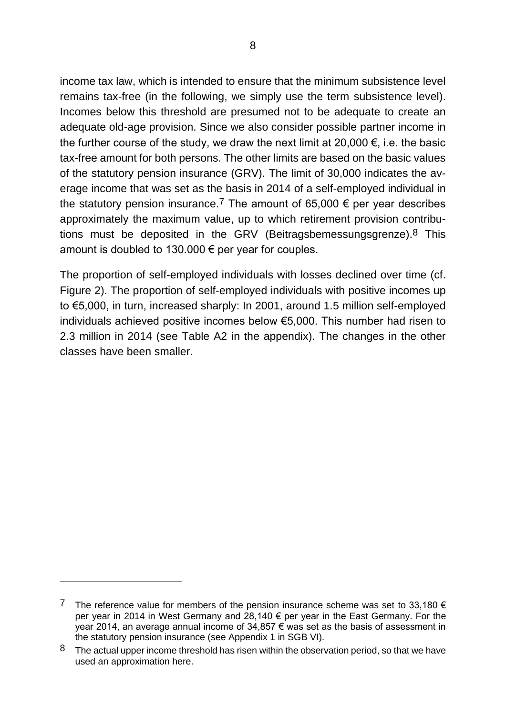income tax law, which is intended to ensure that the minimum subsistence level remains tax-free (in the following, we simply use the term subsistence level). Incomes below this threshold are presumed not to be adequate to create an adequate old-age provision. Since we also consider possible partner income in the further course of the study, we draw the next limit at 20,000  $\epsilon$ , i.e. the basic tax-free amount for both persons. The other limits are based on the basic values of the statutory pension insurance (GRV). The limit of 30,000 indicates the average income that was set as the basis in 2014 of a self-employed individual in the statutory pension insurance.<sup>7</sup> The amount of 65,000  $\epsilon$  per year describes approximately the maximum value, up to which retirement provision contributions must be deposited in the GRV (Beitragsbemessungsgrenze). $8$  This amount is doubled to 130.000  $\epsilon$  per year for couples.

The proportion of self-employed individuals with losses declined over time (cf. Figure 2). The proportion of self-employed individuals with positive incomes up to €5,000, in turn, increased sharply: In 2001, around 1.5 million self-employed individuals achieved positive incomes below €5,000. This number had risen to 2.3 million in 2014 (see Table A2 in the appendix). The changes in the other classes have been smaller.

<sup>7</sup> The reference value for members of the pension insurance scheme was set to 33,180  $\epsilon$ per year in 2014 in West Germany and 28,140 € per year in the East Germany. For the year 2014, an average annual income of 34,857 € was set as the basis of assessment in the statutory pension insurance (see Appendix 1 in SGB VI).

<sup>8</sup> The actual upper income threshold has risen within the observation period, so that we have used an approximation here.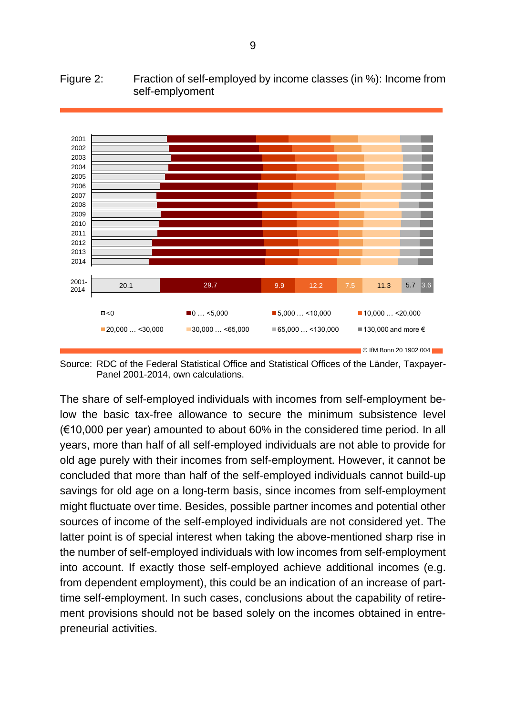#### Figure 2: Fraction of self-employed by income classes (in %): Income from self-emplyoment



Source: RDC of the Federal Statistical Office and Statistical Offices of the Länder, Taxpayer-Panel 2001-2014, own calculations.

The share of self-employed individuals with incomes from self-employment below the basic tax-free allowance to secure the minimum subsistence level (€10,000 per year) amounted to about 60% in the considered time period. In all years, more than half of all self-employed individuals are not able to provide for old age purely with their incomes from self-employment. However, it cannot be concluded that more than half of the self-employed individuals cannot build-up savings for old age on a long-term basis, since incomes from self-employment might fluctuate over time. Besides, possible partner incomes and potential other sources of income of the self-employed individuals are not considered yet. The latter point is of special interest when taking the above-mentioned sharp rise in the number of self-employed individuals with low incomes from self-employment into account. If exactly those self-employed achieve additional incomes (e.g. from dependent employment), this could be an indication of an increase of parttime self-employment. In such cases, conclusions about the capability of retirement provisions should not be based solely on the incomes obtained in entrepreneurial activities.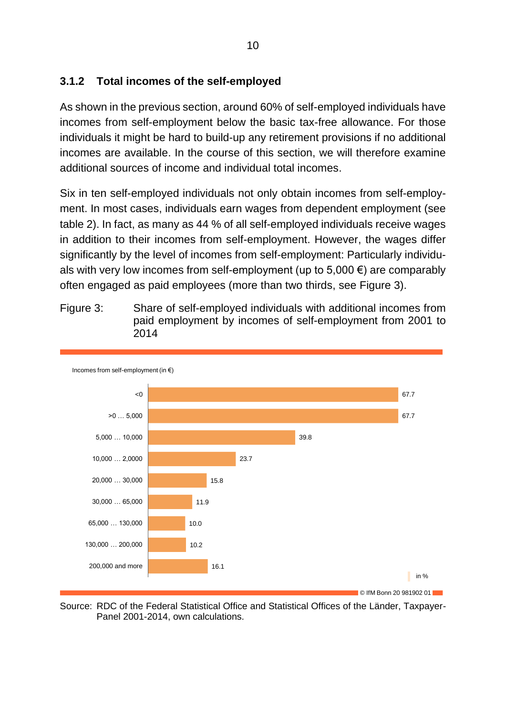#### <span id="page-19-0"></span>**3.1.2 Total incomes of the self-employed**

As shown in the previous section, around 60% of self-employed individuals have incomes from self-employment below the basic tax-free allowance. For those individuals it might be hard to build-up any retirement provisions if no additional incomes are available. In the course of this section, we will therefore examine additional sources of income and individual total incomes.

Six in ten self-employed individuals not only obtain incomes from self-employment. In most cases, individuals earn wages from dependent employment (see table 2). In fact, as many as 44 % of all self-employed individuals receive wages in addition to their incomes from self-employment. However, the wages differ significantly by the level of incomes from self-employment: Particularly individuals with very low incomes from self-employment (up to  $5,000 \in \mathbb{R}$ ) are comparably often engaged as paid employees (more than two thirds, see Figure 3).



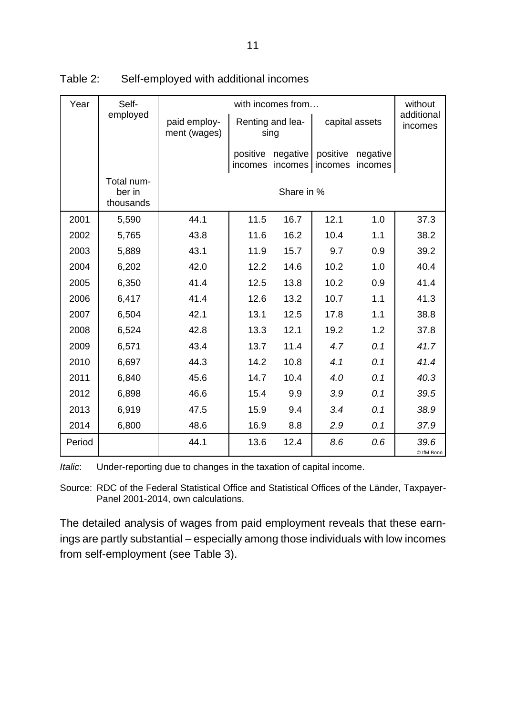| Year   | Self-                             | with incomes from            |                     |                                            |      |                     |                       |  |  |  |
|--------|-----------------------------------|------------------------------|---------------------|--------------------------------------------|------|---------------------|-----------------------|--|--|--|
|        | employed                          | paid employ-<br>ment (wages) |                     | Renting and lea-<br>sing                   |      | capital assets      | additional<br>incomes |  |  |  |
|        |                                   |                              | positive<br>incomes | negative<br>positive<br>incomes<br>incomes |      | negative<br>incomes |                       |  |  |  |
|        | Total num-<br>ber in<br>thousands |                              | Share in %          |                                            |      |                     |                       |  |  |  |
| 2001   | 5,590                             | 44.1                         | 11.5                | 16.7                                       | 12.1 | 1.0                 | 37.3                  |  |  |  |
| 2002   | 5,765                             | 43.8                         | 11.6                | 16.2                                       | 10.4 | 1.1                 | 38.2                  |  |  |  |
| 2003   | 5,889                             | 43.1                         | 11.9                | 15.7                                       | 9.7  | 0.9                 | 39.2                  |  |  |  |
| 2004   | 6,202                             | 42.0                         | 12.2                | 14.6                                       | 10.2 | 1.0                 | 40.4                  |  |  |  |
| 2005   | 6,350                             | 41.4                         | 12.5                | 13.8                                       | 10.2 | 0.9                 | 41.4                  |  |  |  |
| 2006   | 6,417                             | 41.4                         | 12.6                | 13.2                                       | 10.7 | 1.1                 | 41.3                  |  |  |  |
| 2007   | 6,504                             | 42.1                         | 13.1                | 12.5                                       | 17.8 | 1.1                 | 38.8                  |  |  |  |
| 2008   | 6,524                             | 42.8                         | 13.3                | 12.1                                       | 19.2 | 1.2                 | 37.8                  |  |  |  |
| 2009   | 6,571                             | 43.4                         | 13.7                | 11.4                                       | 4.7  | 0.1                 | 41.7                  |  |  |  |
| 2010   | 6,697                             | 44.3                         | 14.2                | 10.8                                       | 4.1  | 0.1                 | 41.4                  |  |  |  |
| 2011   | 6,840                             | 45.6                         | 14.7                | 10.4                                       | 4.0  | 0.1                 | 40.3                  |  |  |  |
| 2012   | 6,898                             | 46.6                         | 15.4                | 9.9                                        | 3.9  | 0.1                 | 39.5                  |  |  |  |
| 2013   | 6,919                             | 47.5                         | 15.9                | 9.4                                        | 3.4  | 0.1                 | 38.9                  |  |  |  |
| 2014   | 6,800                             | 48.6                         | 16.9                | 8.8                                        | 2.9  | 0.1                 | 37.9                  |  |  |  |
| Period |                                   | 44.1                         | 13.6                | 12.4                                       | 8.6  | 0.6                 | 39.6<br>© IfM Bonn    |  |  |  |

Table 2: Self-employed with additional incomes

*Italic*: Under-reporting due to changes in the taxation of capital income.

Source: RDC of the Federal Statistical Office and Statistical Offices of the Länder, Taxpayer-Panel 2001-2014, own calculations.

The detailed analysis of wages from paid employment reveals that these earnings are partly substantial – especially among those individuals with low incomes from self-employment (see Table 3).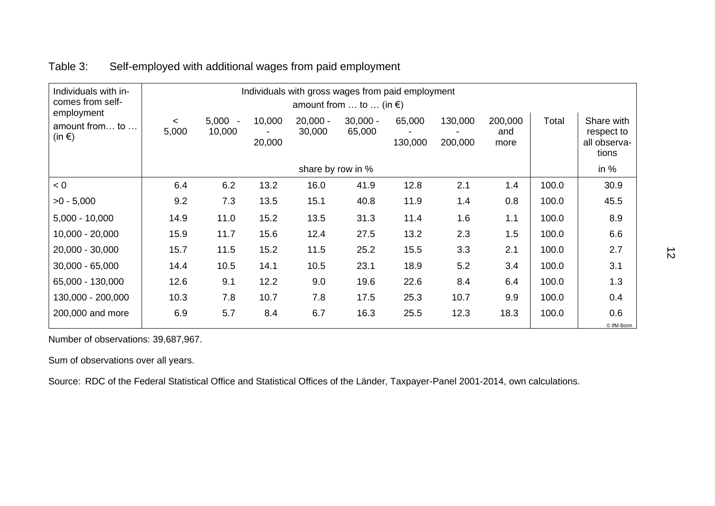| Individuals with in-<br>comes from self-         |                  |                     | Individuals with gross wages from paid employment<br>amount from  to  (in $\epsilon$ ) |                      |                      |                   |                    |                        |       |                                                   |
|--------------------------------------------------|------------------|---------------------|----------------------------------------------------------------------------------------|----------------------|----------------------|-------------------|--------------------|------------------------|-------|---------------------------------------------------|
| employment<br>amount from to<br>(in $\epsilon$ ) | $\prec$<br>5,000 | $5,000 -$<br>10,000 | 10,000<br>20,000                                                                       | $20,000 -$<br>30,000 | $30,000 -$<br>65,000 | 65,000<br>130,000 | 130,000<br>200,000 | 200,000<br>and<br>more | Total | Share with<br>respect to<br>all observa-<br>tions |
|                                                  |                  |                     |                                                                                        |                      | share by row in %    |                   |                    |                        |       | in $%$                                            |
| < 0                                              | 6.4              | 6.2                 | 13.2                                                                                   | 16.0                 | 41.9                 | 12.8              | 2.1                | 1.4                    | 100.0 | 30.9                                              |
| $>0 - 5,000$                                     | 9.2              | 7.3                 | 13.5                                                                                   | 15.1                 | 40.8                 | 11.9              | 1.4                | 0.8                    | 100.0 | 45.5                                              |
| $5,000 - 10,000$                                 | 14.9             | 11.0                | 15.2                                                                                   | 13.5                 | 31.3                 | 11.4              | 1.6                | 1.1                    | 100.0 | 8.9                                               |
| $10,000 - 20,000$                                | 15.9             | 11.7                | 15.6                                                                                   | 12.4                 | 27.5                 | 13.2              | 2.3                | 1.5                    | 100.0 | 6.6                                               |
| 20,000 - 30,000                                  | 15.7             | 11.5                | 15.2                                                                                   | 11.5                 | 25.2                 | 15.5              | 3.3                | 2.1                    | 100.0 | 2.7                                               |
| $30,000 - 65,000$                                | 14.4             | 10.5                | 14.1                                                                                   | 10.5                 | 23.1                 | 18.9              | 5.2                | 3.4                    | 100.0 | 3.1                                               |
| 65,000 - 130,000                                 | 12.6             | 9.1                 | 12.2                                                                                   | 9.0                  | 19.6                 | 22.6              | 8.4                | 6.4                    | 100.0 | 1.3                                               |
| 130,000 - 200,000                                | 10.3             | 7.8                 | 10.7                                                                                   | 7.8                  | 17.5                 | 25.3              | 10.7               | 9.9                    | 100.0 | 0.4                                               |
| 200,000 and more                                 | 6.9              | 5.7                 | 8.4                                                                                    | 6.7                  | 16.3                 | 25.5              | 12.3               | 18.3                   | 100.0 | 0.6<br>© IfM Bonn                                 |

## Table 3: Self-employed with additional wages from paid employment

Number of observations: 39,687,967.

Sum of observations over all years.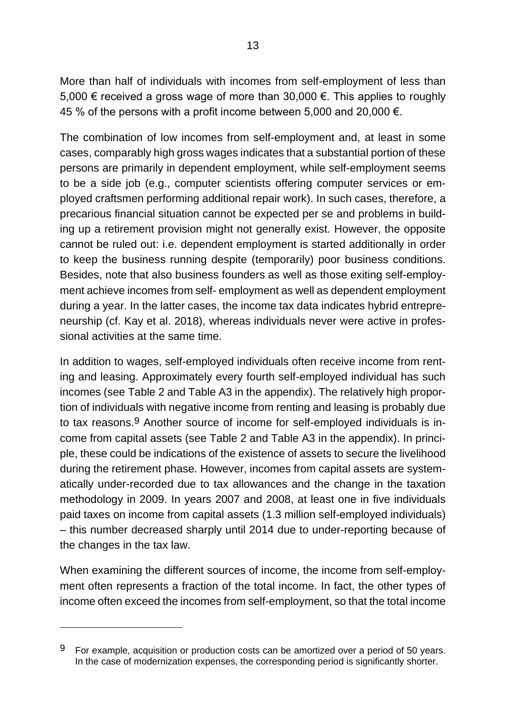More than half of individuals with incomes from self-employment of less than 5,000 € received a gross wage of more than 30,000 €. This applies to roughly 45 % of the persons with a profit income between 5,000 and 20,000  $\epsilon$ .

The combination of low incomes from self-employment and, at least in some cases, comparably high gross wages indicates that a substantial portion of these persons are primarily in dependent employment, while self-employment seems to be a side job (e.g., computer scientists offering computer services or employed craftsmen performing additional repair work). In such cases, therefore, a precarious financial situation cannot be expected per se and problems in building up a retirement provision might not generally exist. However, the opposite cannot be ruled out: i.e. dependent employment is started additionally in order to keep the business running despite (temporarily) poor business conditions. Besides, note that also business founders as well as those exiting self-employment achieve incomes from self- employment as well as dependent employment during a year. In the latter cases, the income tax data indicates hybrid entrepreneurship (cf. Kay et al. 2018), whereas individuals never were active in professional activities at the same time.

In addition to wages, self-employed individuals often receive income from renting and leasing. Approximately every fourth self-employed individual has such incomes (see Table 2 and Table A3 in the appendix). The relatively high proportion of individuals with negative income from renting and leasing is probably due to tax reasons.9 Another source of income for self-employed individuals is income from capital assets (see Table 2 and Table A3 in the appendix). In principle, these could be indications of the existence of assets to secure the livelihood during the retirement phase. However, incomes from capital assets are systematically under-recorded due to tax allowances and the change in the taxation methodology in 2009. In years 2007 and 2008, at least one in five individuals paid taxes on income from capital assets (1.3 million self-employed individuals) – this number decreased sharply until 2014 due to under-reporting because of the changes in the tax law.

When examining the different sources of income, the income from self-employment often represents a fraction of the total income. In fact, the other types of income often exceed the incomes from self-employment, so that the total income

 $9$  For example, acquisition or production costs can be amortized over a period of 50 years. In the case of modernization expenses, the corresponding period is significantly shorter.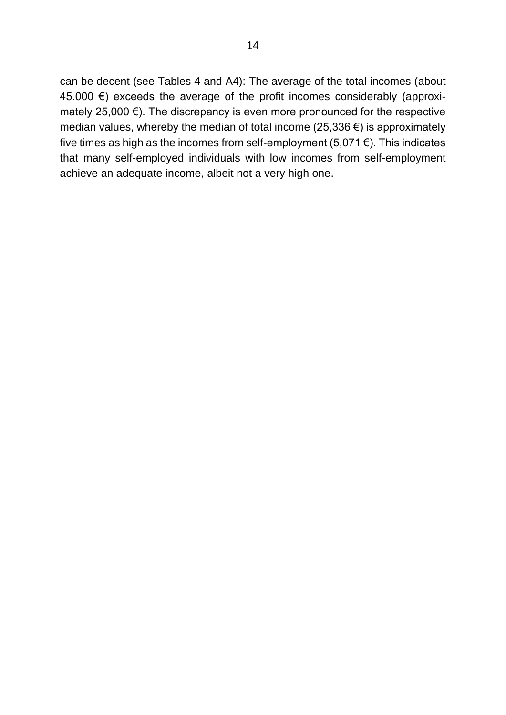can be decent (see Tables 4 and A4): The average of the total incomes (about 45.000  $€$ ) exceeds the average of the profit incomes considerably (approximately 25,000 €). The discrepancy is even more pronounced for the respective median values, whereby the median of total income (25,336 €) is approximately five times as high as the incomes from self-employment  $(5,071 \in)$ . This indicates that many self-employed individuals with low incomes from self-employment achieve an adequate income, albeit not a very high one.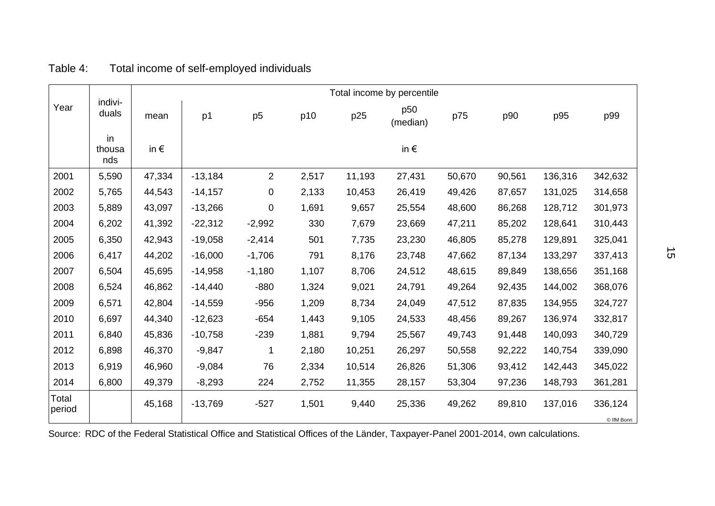|                        | indivi-<br>duals    |               |           |                |       |        | Total income by percentile |        |        |         |                       |
|------------------------|---------------------|---------------|-----------|----------------|-------|--------|----------------------------|--------|--------|---------|-----------------------|
| Year                   |                     | mean          | p1        | p <sub>5</sub> | p10   | p25    | p50<br>(median)            | p75    | p90    | p95     | p99                   |
|                        | in<br>thousa<br>nds | in $\epsilon$ |           |                |       |        | in $\epsilon$              |        |        |         |                       |
| 2001                   | 5,590               | 47,334        | $-13,184$ | 2              | 2,517 | 11,193 | 27,431                     | 50,670 | 90,561 | 136,316 | 342,632               |
| 2002                   | 5,765               | 44,543        | $-14,157$ | $\pmb{0}$      | 2,133 | 10,453 | 26,419                     | 49,426 | 87,657 | 131,025 | 314,658               |
| 2003                   | 5,889               | 43,097        | $-13,266$ | 0              | 1,691 | 9,657  | 25,554                     | 48,600 | 86,268 | 128,712 | 301,973               |
| 2004                   | 6,202               | 41,392        | $-22,312$ | $-2,992$       | 330   | 7,679  | 23,669                     | 47,211 | 85,202 | 128,641 | 310,443               |
| 2005                   | 6,350               | 42,943        | $-19,058$ | $-2,414$       | 501   | 7,735  | 23,230                     | 46,805 | 85,278 | 129,891 | 325,041               |
| 2006                   | 6,417               | 44,202        | $-16,000$ | $-1,706$       | 791   | 8,176  | 23,748                     | 47,662 | 87,134 | 133,297 | 337,413               |
| 2007                   | 6,504               | 45,695        | $-14,958$ | $-1,180$       | 1,107 | 8,706  | 24,512                     | 48,615 | 89,849 | 138,656 | 351,168               |
| 2008                   | 6,524               | 46,862        | $-14,440$ | $-880$         | 1,324 | 9,021  | 24,791                     | 49,264 | 92,435 | 144,002 | 368,076               |
| 2009                   | 6,571               | 42,804        | $-14,559$ | $-956$         | 1,209 | 8,734  | 24,049                     | 47,512 | 87,835 | 134,955 | 324,727               |
| 2010                   | 6,697               | 44,340        | $-12,623$ | $-654$         | 1,443 | 9,105  | 24,533                     | 48,456 | 89,267 | 136,974 | 332,817               |
| 2011                   | 6,840               | 45,836        | $-10,758$ | $-239$         | 1,881 | 9,794  | 25,567                     | 49,743 | 91,448 | 140,093 | 340,729               |
| 2012                   | 6,898               | 46,370        | $-9,847$  | 1              | 2,180 | 10,251 | 26,297                     | 50,558 | 92,222 | 140,754 | 339,090               |
| 2013                   | 6,919               | 46,960        | $-9,084$  | 76             | 2,334 | 10,514 | 26,826                     | 51,306 | 93,412 | 142,443 | 345,022               |
| 2014                   | 6,800               | 49,379        | $-8,293$  | 224            | 2,752 | 11,355 | 28,157                     | 53,304 | 97,236 | 148,793 | 361,281               |
| <b>Total</b><br>period |                     | 45,168        | $-13,769$ | $-527$         | 1,501 | 9,440  | 25,336                     | 49,262 | 89,810 | 137,016 | 336,124<br>© IfM Bonn |

## Table 4: Total income of self-employed individuals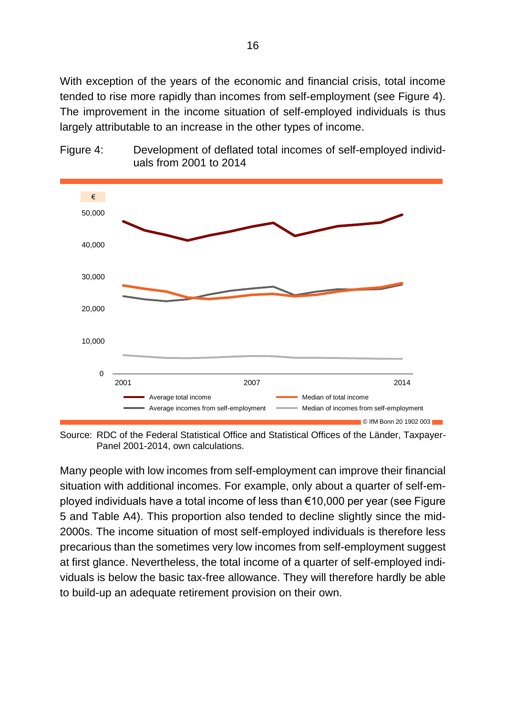With exception of the years of the economic and financial crisis, total income tended to rise more rapidly than incomes from self-employment (see Figure 4). The improvement in the income situation of self-employed individuals is thus largely attributable to an increase in the other types of income.





Source: RDC of the Federal Statistical Office and Statistical Offices of the Länder, Taxpayer-Panel 2001-2014, own calculations.

Many people with low incomes from self-employment can improve their financial situation with additional incomes. For example, only about a quarter of self-employed individuals have a total income of less than €10,000 per year (see Figure 5 and Table A4). This proportion also tended to decline slightly since the mid-2000s. The income situation of most self-employed individuals is therefore less precarious than the sometimes very low incomes from self-employment suggest at first glance. Nevertheless, the total income of a quarter of self-employed individuals is below the basic tax-free allowance. They will therefore hardly be able to build-up an adequate retirement provision on their own.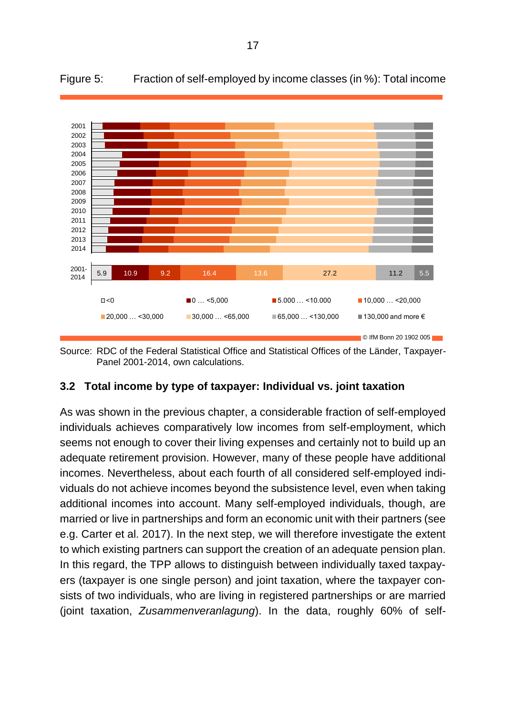

Figure 5: Fraction of self-employed by income classes (in %): Total income

Source: RDC of the Federal Statistical Office and Statistical Offices of the Länder, Taxpayer-Panel 2001-2014, own calculations.

#### <span id="page-26-0"></span>**3.2 Total income by type of taxpayer: Individual vs. joint taxation**

As was shown in the previous chapter, a considerable fraction of self-employed individuals achieves comparatively low incomes from self-employment, which seems not enough to cover their living expenses and certainly not to build up an adequate retirement provision. However, many of these people have additional incomes. Nevertheless, about each fourth of all considered self-employed individuals do not achieve incomes beyond the subsistence level, even when taking additional incomes into account. Many self-employed individuals, though, are married or live in partnerships and form an economic unit with their partners (see e.g. Carter et al. 2017). In the next step, we will therefore investigate the extent to which existing partners can support the creation of an adequate pension plan. In this regard, the TPP allows to distinguish between individually taxed taxpayers (taxpayer is one single person) and joint taxation, where the taxpayer consists of two individuals, who are living in registered partnerships or are married (joint taxation, *Zusammenveranlagung*). In the data, roughly 60% of self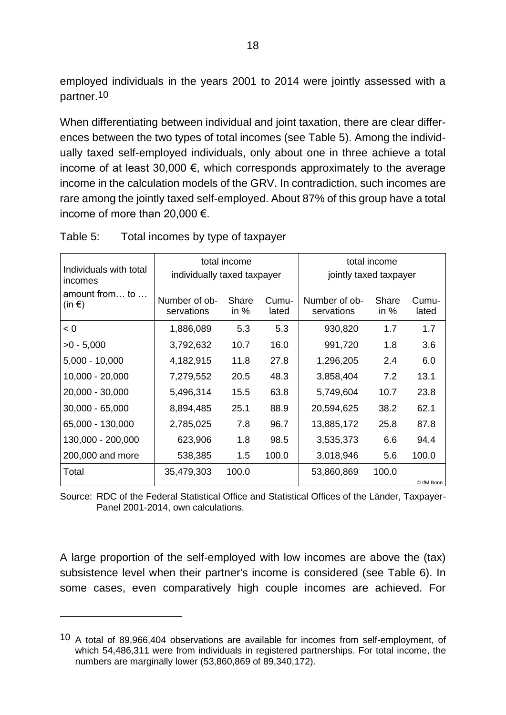employed individuals in the years 2001 to 2014 were jointly assessed with a partner.10

When differentiating between individual and joint taxation, there are clear differences between the two types of total incomes (see Table 5). Among the individually taxed self-employed individuals, only about one in three achieve a total income of at least 30,000  $\epsilon$ , which corresponds approximately to the average income in the calculation models of the GRV. In contradiction, such incomes are rare among the jointly taxed self-employed. About 87% of this group have a total income of more than 20,000 €.

|                             | total income    |                | total income<br>jointly taxed taxpayer |                 |                |  |  |
|-----------------------------|-----------------|----------------|----------------------------------------|-----------------|----------------|--|--|
| Number of ob-<br>servations | Share<br>in $%$ | Cumu-<br>lated | Number of ob-<br>servations            | Share<br>in $%$ | Cumu-<br>lated |  |  |
| 1,886,089                   | 5.3             | 5.3            | 930,820                                | 1.7             | 1.7            |  |  |
| 3,792,632                   | 10.7            | 16.0           | 991,720                                | 1.8             | 3.6            |  |  |
| 4,182,915                   | 11.8            | 27.8           | 1,296,205                              | 2.4             | 6.0            |  |  |
| 7,279,552                   | 20.5            | 48.3           | 3,858,404                              | 7.2             | 13.1           |  |  |
| 5,496,314                   | 15.5            | 63.8           | 5,749,604                              | 10.7            | 23.8           |  |  |
| 8,894,485                   | 25.1            | 88.9           | 20,594,625                             | 38.2            | 62.1           |  |  |
| 2,785,025                   | 7.8             | 96.7           | 13,885,172                             | 25.8            | 87.8           |  |  |
| 623,906                     | 1.8             | 98.5           | 3,535,373                              | 6.6             | 94.4           |  |  |
| 538,385                     | 1.5<br>100.0    |                | 3,018,946                              | 5.6             | 100.0          |  |  |
| 35,479,303                  | 100.0           |                | 53,860,869                             | 100.0           | © IfM Bonn     |  |  |
|                             |                 |                | individually taxed taxpayer            |                 |                |  |  |

Table 5: Total incomes by type of taxpayer

Source: RDC of the Federal Statistical Office and Statistical Offices of the Länder, Taxpayer-Panel 2001-2014, own calculations.

A large proportion of the self-employed with low incomes are above the (tax) subsistence level when their partner's income is considered (see Table 6). In some cases, even comparatively high couple incomes are achieved. For

<sup>10</sup> A total of 89,966,404 observations are available for incomes from self-employment, of which 54,486,311 were from individuals in registered partnerships. For total income, the numbers are marginally lower (53,860,869 of 89,340,172).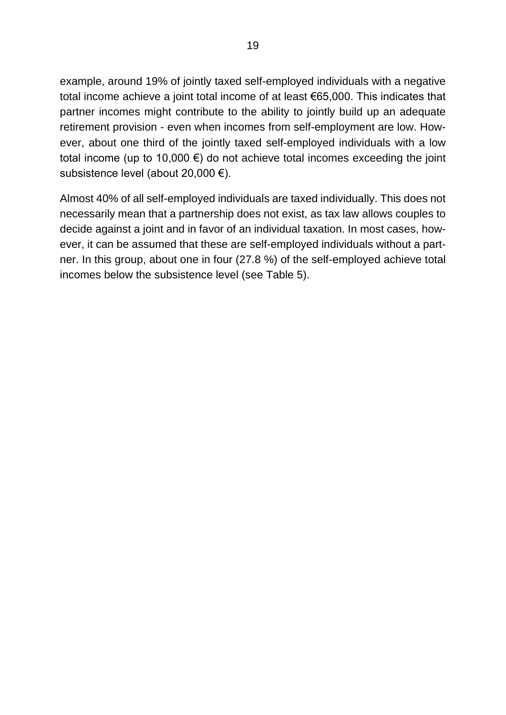example, around 19% of jointly taxed self-employed individuals with a negative total income achieve a joint total income of at least €65,000. This indicates that partner incomes might contribute to the ability to jointly build up an adequate retirement provision - even when incomes from self-employment are low. However, about one third of the jointly taxed self-employed individuals with a low total income (up to 10,000  $\epsilon$ ) do not achieve total incomes exceeding the joint subsistence level (about 20,000 €).

Almost 40% of all self-employed individuals are taxed individually. This does not necessarily mean that a partnership does not exist, as tax law allows couples to decide against a joint and in favor of an individual taxation. In most cases, however, it can be assumed that these are self-employed individuals without a partner. In this group, about one in four (27.8 %) of the self-employed achieve total incomes below the subsistence level (see Table 5).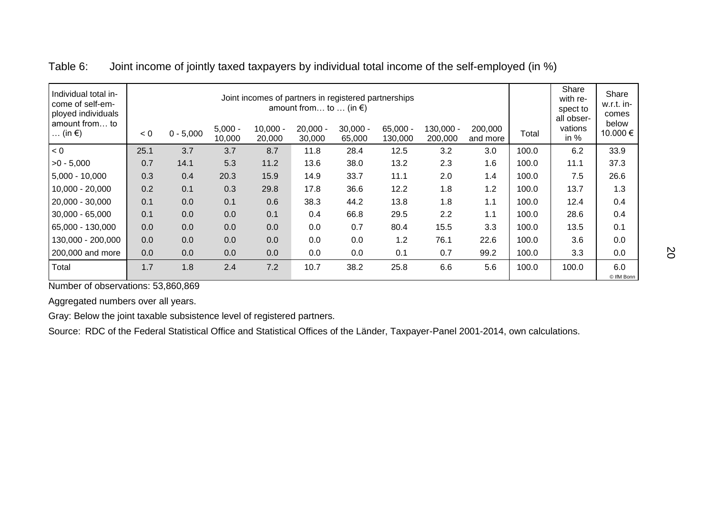| Individual total in-<br>come of self-em-<br>ployed individuals<br>amount from to<br>$\ldots$ (in $\epsilon$ ) | < 0  | $0 - 5,000$ | $5,000 -$<br>10,000 | $10,000 -$<br>20,000 | amount from to  (in $\epsilon$ )<br>$20,000 -$<br>30,000 | Joint incomes of partners in registered partnerships<br>$30,000 -$<br>65,000 | $65,000 -$<br>130,000 | 130,000 -<br>200,000 | 200,000<br>and more | Total | Share<br>with re-<br>spect to<br>all obser-<br>vations<br>in $%$ | Share<br>w.r.t. in-<br>comes<br>below<br>10.000€ |
|---------------------------------------------------------------------------------------------------------------|------|-------------|---------------------|----------------------|----------------------------------------------------------|------------------------------------------------------------------------------|-----------------------|----------------------|---------------------|-------|------------------------------------------------------------------|--------------------------------------------------|
| < 0                                                                                                           | 25.1 | 3.7         | 3.7                 | 8.7                  | 11.8                                                     | 28.4                                                                         | 12.5                  | 3.2                  | 3.0                 | 100.0 | 6.2                                                              | 33.9                                             |
| $>0 - 5,000$                                                                                                  | 0.7  | 14.1        | 5.3                 | 11.2                 | 13.6                                                     | 38.0                                                                         | 13.2                  | 2.3                  | 1.6                 | 100.0 | 11.1                                                             | 37.3                                             |
| $5,000 - 10,000$                                                                                              | 0.3  | 0.4         | 20.3                | 15.9                 | 14.9                                                     | 33.7                                                                         | 11.1                  | 2.0                  | 1.4                 | 100.0 | 7.5                                                              | 26.6                                             |
| $10,000 - 20,000$                                                                                             | 0.2  | 0.1         | 0.3                 | 29.8                 | 17.8                                                     | 36.6                                                                         | 12.2                  | 1.8                  | 1.2                 | 100.0 | 13.7                                                             | 1.3                                              |
| 20,000 - 30,000                                                                                               | 0.1  | 0.0         | 0.1                 | 0.6                  | 38.3                                                     | 44.2                                                                         | 13.8                  | 1.8                  | 1.1                 | 100.0 | 12.4                                                             | 0.4                                              |
| $30,000 - 65,000$                                                                                             | 0.1  | 0.0         | 0.0                 | 0.1                  | 0.4                                                      | 66.8                                                                         | 29.5                  | 2.2                  | 1.1                 | 100.0 | 28.6                                                             | 0.4                                              |
| 65,000 - 130,000                                                                                              | 0.0  | 0.0         | 0.0                 | 0.0                  | 0.0                                                      | 0.7                                                                          | 80.4                  | 15.5                 | 3.3                 | 100.0 | 13.5                                                             | 0.1                                              |
| 130,000 - 200,000                                                                                             | 0.0  | 0.0         | 0.0                 | 0.0                  | 0.0                                                      | 0.0                                                                          | 1.2                   | 76.1                 | 22.6                | 100.0 | 3.6                                                              | 0.0                                              |
| 200,000 and more                                                                                              | 0.0  | 0.0         | 0.0                 | 0.0                  | 0.0                                                      | 0.0                                                                          | 0.1                   | 0.7                  | 99.2                | 100.0 | 3.3                                                              | 0.0                                              |
| Total                                                                                                         | 1.7  | 1.8         | 2.4                 | 7.2                  | 10.7                                                     | 38.2                                                                         | 25.8                  | 6.6                  | 5.6                 | 100.0 | 100.0                                                            | 6.0<br>© IfM Bonn                                |

Table 6: Joint income of jointly taxed taxpayers by individual total income of the self-employed (in %)

Number of observations: 53,860,869

Aggregated numbers over all years.

Gray: Below the joint taxable subsistence level of registered partners.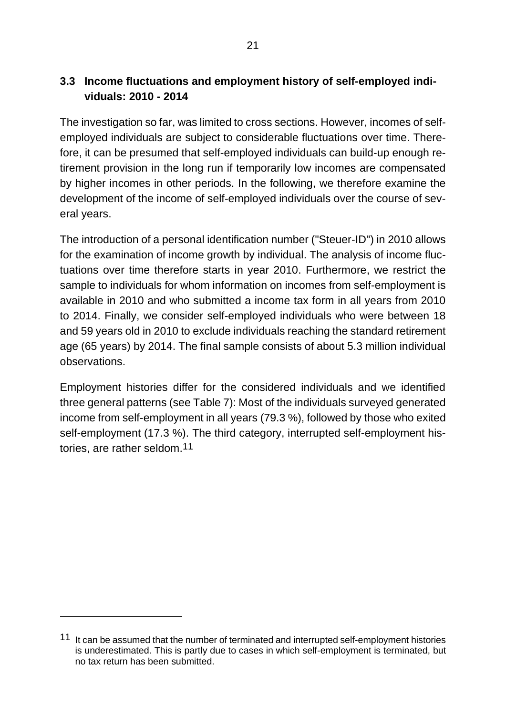#### <span id="page-30-0"></span>**3.3 Income fluctuations and employment history of self-employed individuals: 2010 - 2014**

The investigation so far, was limited to cross sections. However, incomes of selfemployed individuals are subject to considerable fluctuations over time. Therefore, it can be presumed that self-employed individuals can build-up enough retirement provision in the long run if temporarily low incomes are compensated by higher incomes in other periods. In the following, we therefore examine the development of the income of self-employed individuals over the course of several years.

The introduction of a personal identification number ("Steuer-ID") in 2010 allows for the examination of income growth by individual. The analysis of income fluctuations over time therefore starts in year 2010. Furthermore, we restrict the sample to individuals for whom information on incomes from self-employment is available in 2010 and who submitted a income tax form in all years from 2010 to 2014. Finally, we consider self-employed individuals who were between 18 and 59 years old in 2010 to exclude individuals reaching the standard retirement age (65 years) by 2014. The final sample consists of about 5.3 million individual observations.

Employment histories differ for the considered individuals and we identified three general patterns (see Table 7): Most of the individuals surveyed generated income from self-employment in all years (79.3 %), followed by those who exited self-employment (17.3 %). The third category, interrupted self-employment histories, are rather seldom.11

<sup>11</sup> It can be assumed that the number of terminated and interrupted self-employment histories is underestimated. This is partly due to cases in which self-employment is terminated, but no tax return has been submitted.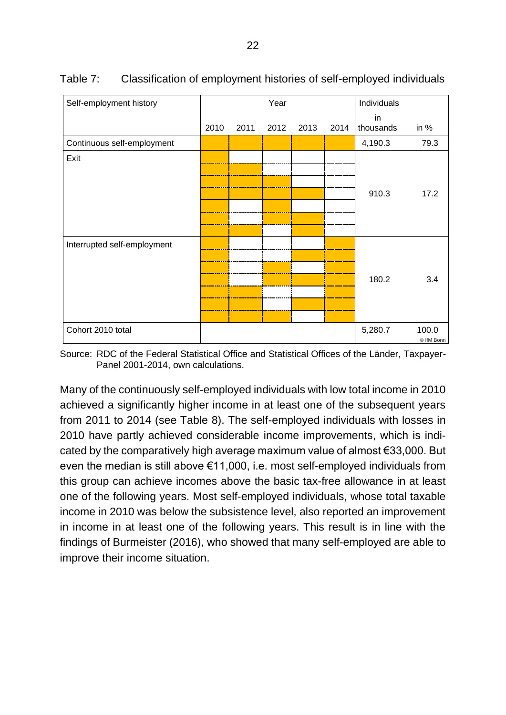| Self-employment history     |      |      | Year |      |      | Individuals     |                     |
|-----------------------------|------|------|------|------|------|-----------------|---------------------|
|                             | 2010 | 2011 | 2012 | 2013 | 2014 | in<br>thousands | in $%$              |
| Continuous self-employment  |      |      |      |      |      | 4,190.3         | 79.3                |
| Exit                        |      |      |      |      |      | 910.3           | 17.2                |
| Interrupted self-employment |      |      |      |      |      | 180.2           | 3.4                 |
| Cohort 2010 total           |      |      |      |      |      | 5,280.7         | 100.0<br>© IfM Bonn |

Table 7: Classification of employment histories of self-employed individuals

Source: RDC of the Federal Statistical Office and Statistical Offices of the Länder, Taxpayer-Panel 2001-2014, own calculations.

Many of the continuously self-employed individuals with low total income in 2010 achieved a significantly higher income in at least one of the subsequent years from 2011 to 2014 (see Table 8). The self-employed individuals with losses in 2010 have partly achieved considerable income improvements, which is indicated by the comparatively high average maximum value of almost €33,000. But even the median is still above €11,000, i.e. most self-employed individuals from this group can achieve incomes above the basic tax-free allowance in at least one of the following years. Most self-employed individuals, whose total taxable income in 2010 was below the subsistence level, also reported an improvement in income in at least one of the following years. This result is in line with the findings of Burmeister (2016), who showed that many self-employed are able to improve their income situation.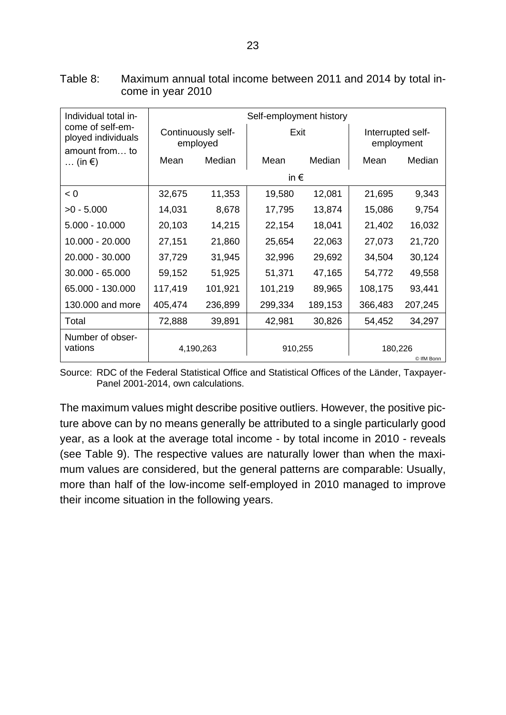| Individual total in-                                     |               |                                | Self-employment history |         |                                 |         |  |  |  |  |  |
|----------------------------------------------------------|---------------|--------------------------------|-------------------------|---------|---------------------------------|---------|--|--|--|--|--|
| come of self-em-<br>ployed individuals<br>amount from to |               | Continuously self-<br>employed | Exit                    |         | Interrupted self-<br>employment |         |  |  |  |  |  |
| $\ldots$ (in $\epsilon$ )                                | Mean          | Median                         | Mean                    | Median  | Mean                            | Median  |  |  |  |  |  |
|                                                          | in $\epsilon$ |                                |                         |         |                                 |         |  |  |  |  |  |
| < 0                                                      | 32,675        | 11,353                         | 19,580                  | 12,081  | 21,695                          | 9,343   |  |  |  |  |  |
| $>0 - 5.000$                                             | 14,031        | 8,678                          | 17,795                  | 13,874  | 15,086                          | 9,754   |  |  |  |  |  |
| $5.000 - 10.000$                                         | 20,103        | 14,215                         | 22,154                  | 18,041  | 21,402                          | 16,032  |  |  |  |  |  |
| 10.000 - 20.000                                          | 27,151        | 21,860                         | 25,654                  | 22,063  | 27,073                          | 21,720  |  |  |  |  |  |
| 20.000 - 30.000                                          | 37,729        | 31,945                         | 32,996                  | 29,692  | 34,504                          | 30,124  |  |  |  |  |  |
| 30.000 - 65.000                                          | 59,152        | 51,925                         | 51,371                  | 47,165  | 54,772                          | 49,558  |  |  |  |  |  |
| 65.000 - 130.000                                         | 117,419       | 101,921                        | 101,219                 | 89,965  | 108,175                         | 93,441  |  |  |  |  |  |
| 130.000 and more                                         | 405,474       | 236,899                        | 299,334                 | 189,153 | 366,483                         | 207,245 |  |  |  |  |  |
| Total                                                    | 72,888        | 39,891                         | 42,981                  | 30,826  | 54,452                          | 34,297  |  |  |  |  |  |
| Number of obser-<br>vations                              |               | 4,190,263                      | 910,255                 |         | 180,226<br>© IfM Bonn           |         |  |  |  |  |  |

Table 8: Maximum annual total income between 2011 and 2014 by total income in year 2010

Source: RDC of the Federal Statistical Office and Statistical Offices of the Länder, Taxpayer-Panel 2001-2014, own calculations.

The maximum values might describe positive outliers. However, the positive picture above can by no means generally be attributed to a single particularly good year, as a look at the average total income - by total income in 2010 - reveals (see Table 9). The respective values are naturally lower than when the maximum values are considered, but the general patterns are comparable: Usually, more than half of the low-income self-employed in 2010 managed to improve their income situation in the following years.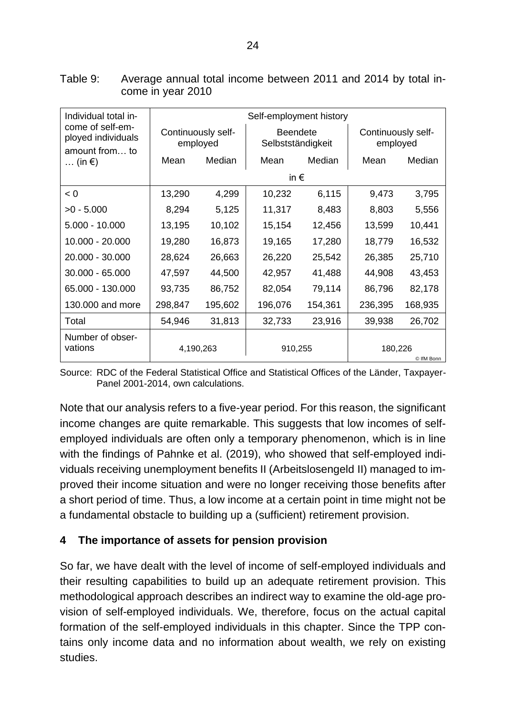| Individual total in-                        | Self-employment history        |         |                                      |         |                                |         |  |  |  |
|---------------------------------------------|--------------------------------|---------|--------------------------------------|---------|--------------------------------|---------|--|--|--|
| come of self-em-<br>ployed individuals      | Continuously self-<br>employed |         | <b>Beendete</b><br>Selbstständigkeit |         | Continuously self-<br>employed |         |  |  |  |
| amount from to<br>$\ldots$ (in $\epsilon$ ) | Mean                           | Median  | Mean                                 | Median  | Mean                           | Median  |  |  |  |
|                                             |                                |         | in $\epsilon$                        |         |                                |         |  |  |  |
| < 0                                         | 13,290                         | 4,299   | 10,232                               | 6,115   | 9,473                          | 3,795   |  |  |  |
| $>0 - 5.000$                                | 8,294                          | 5,125   | 11,317                               | 8,483   | 8,803                          | 5,556   |  |  |  |
| $5.000 - 10.000$                            | 13,195                         | 10,102  | 15,154                               | 12,456  | 13,599                         | 10,441  |  |  |  |
| 10.000 - 20.000                             | 19,280                         | 16,873  | 19,165                               | 17,280  | 18,779                         | 16,532  |  |  |  |
| 20.000 - 30.000                             | 28,624                         | 26,663  | 26,220                               | 25,542  | 26,385                         | 25,710  |  |  |  |
| 30.000 - 65.000                             | 47,597                         | 44,500  | 42,957                               | 41,488  | 44,908                         | 43,453  |  |  |  |
| 65.000 - 130.000                            | 93,735                         | 86,752  | 82,054                               | 79,114  | 86,796                         | 82,178  |  |  |  |
| 130,000 and more                            | 298,847                        | 195,602 | 196,076                              | 154,361 | 236,395                        | 168,935 |  |  |  |
| Total                                       | 54,946                         | 31,813  | 32,733                               | 23,916  | 39,938                         | 26,702  |  |  |  |
| Number of obser-<br>vations                 | 4,190,263                      |         | 910,255                              |         | 180,226<br>© IfM Bonn          |         |  |  |  |

Table 9: Average annual total income between 2011 and 2014 by total income in year 2010

Source: RDC of the Federal Statistical Office and Statistical Offices of the Länder, Taxpayer-Panel 2001-2014, own calculations.

Note that our analysis refers to a five-year period. For this reason, the significant income changes are quite remarkable. This suggests that low incomes of selfemployed individuals are often only a temporary phenomenon, which is in line with the findings of Pahnke et al. (2019), who showed that self-employed individuals receiving unemployment benefits II (Arbeitslosengeld II) managed to improved their income situation and were no longer receiving those benefits after a short period of time. Thus, a low income at a certain point in time might not be a fundamental obstacle to building up a (sufficient) retirement provision.

#### <span id="page-33-0"></span>**4 The importance of assets for pension provision**

So far, we have dealt with the level of income of self-employed individuals and their resulting capabilities to build up an adequate retirement provision. This methodological approach describes an indirect way to examine the old-age provision of self-employed individuals. We, therefore, focus on the actual capital formation of the self-employed individuals in this chapter. Since the TPP contains only income data and no information about wealth, we rely on existing studies.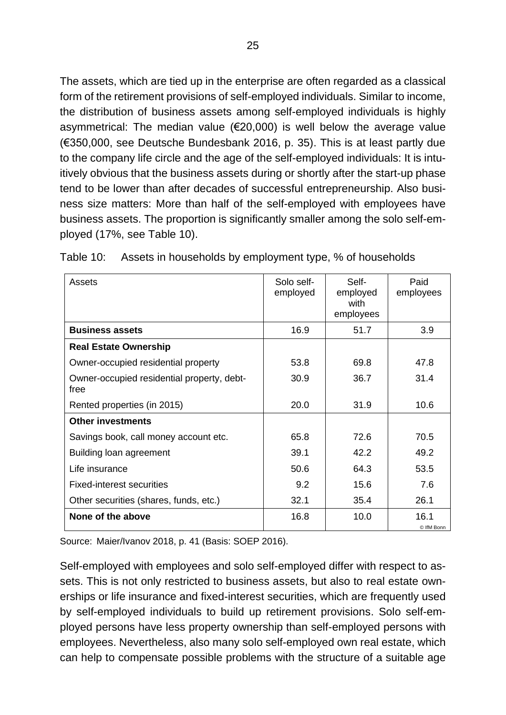The assets, which are tied up in the enterprise are often regarded as a classical form of the retirement provisions of self-employed individuals. Similar to income, the distribution of business assets among self-employed individuals is highly asymmetrical: The median value ( $E$ 20,000) is well below the average value (€350,000, see Deutsche Bundesbank 2016, p. 35). This is at least partly due to the company life circle and the age of the self-employed individuals: It is intuitively obvious that the business assets during or shortly after the start-up phase tend to be lower than after decades of successful entrepreneurship. Also business size matters: More than half of the self-employed with employees have business assets. The proportion is significantly smaller among the solo self-employed (17%, see Table 10).

| Assets                                             | Solo self-<br>employed | Self-<br>employed<br>with<br>employees | Paid<br>employees  |
|----------------------------------------------------|------------------------|----------------------------------------|--------------------|
| <b>Business assets</b>                             | 16.9                   | 51.7                                   | 3.9                |
| <b>Real Estate Ownership</b>                       |                        |                                        |                    |
| Owner-occupied residential property                | 53.8                   | 69.8                                   | 47.8               |
| Owner-occupied residential property, debt-<br>free | 30.9                   | 36.7                                   | 31.4               |
| Rented properties (in 2015)                        | 20.0                   | 31.9                                   | 10.6               |
| <b>Other investments</b>                           |                        |                                        |                    |
| Savings book, call money account etc.              | 65.8                   | 72.6                                   | 70.5               |
| Building loan agreement                            | 39.1                   | 42.2                                   | 49.2               |
| Life insurance                                     | 50.6                   | 64.3                                   | 53.5               |
| <b>Fixed-interest securities</b>                   | 9.2                    | 15.6                                   | 7.6                |
| Other securities (shares, funds, etc.)             | 32.1                   | 35.4                                   | 26.1               |
| None of the above                                  | 16.8                   | 10.0                                   | 16.1<br>© IfM Bonn |

Table 10: Assets in households by employment type, % of households

Source: Maier/Ivanov 2018, p. 41 (Basis: SOEP 2016).

Self-employed with employees and solo self-employed differ with respect to assets. This is not only restricted to business assets, but also to real estate ownerships or life insurance and fixed-interest securities, which are frequently used by self-employed individuals to build up retirement provisions. Solo self-employed persons have less property ownership than self-employed persons with employees. Nevertheless, also many solo self-employed own real estate, which can help to compensate possible problems with the structure of a suitable age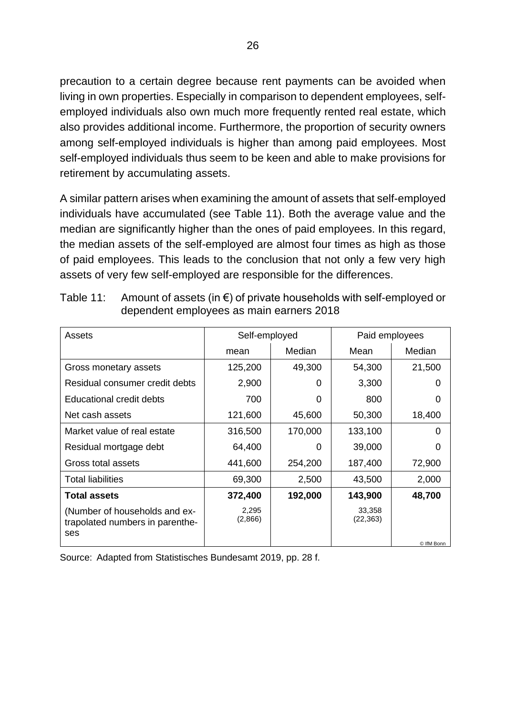precaution to a certain degree because rent payments can be avoided when living in own properties. Especially in comparison to dependent employees, selfemployed individuals also own much more frequently rented real estate, which also provides additional income. Furthermore, the proportion of security owners among self-employed individuals is higher than among paid employees. Most self-employed individuals thus seem to be keen and able to make provisions for retirement by accumulating assets.

A similar pattern arises when examining the amount of assets that self-employed individuals have accumulated (see Table 11). Both the average value and the median are significantly higher than the ones of paid employees. In this regard, the median assets of the self-employed are almost four times as high as those of paid employees. This leads to the conclusion that not only a few very high assets of very few self-employed are responsible for the differences.

| Assets                                                                  | Self-employed    |         | Paid employees      |            |  |
|-------------------------------------------------------------------------|------------------|---------|---------------------|------------|--|
|                                                                         | mean             | Median  | Mean                | Median     |  |
| Gross monetary assets                                                   | 125,200          | 49,300  | 54,300              | 21,500     |  |
| Residual consumer credit debts                                          | 2,900            | 0       | 3,300               |            |  |
| Educational credit debts                                                | 700              | 0       | 800                 | O          |  |
| Net cash assets                                                         | 121,600          | 45,600  | 50,300              | 18,400     |  |
| Market value of real estate                                             | 316,500          | 170,000 | 133,100             | 0          |  |
| Residual mortgage debt                                                  | 64,400           | 0       | 39,000              | O          |  |
| Gross total assets                                                      | 441,600          | 254,200 | 187,400             | 72,900     |  |
| <b>Total liabilities</b>                                                | 69,300           | 2,500   | 43,500              | 2,000      |  |
| <b>Total assets</b>                                                     | 372,400          | 192,000 | 143,900             | 48,700     |  |
| (Number of households and ex-<br>trapolated numbers in parenthe-<br>ses | 2,295<br>(2,866) |         | 33,358<br>(22, 363) |            |  |
|                                                                         |                  |         |                     | © IfM Bonn |  |

| Table 11: Amount of assets (in $\epsilon$ ) of private households with self-employed or |
|-----------------------------------------------------------------------------------------|
| dependent employees as main earners 2018                                                |

Source: Adapted from Statistisches Bundesamt 2019, pp. 28 f.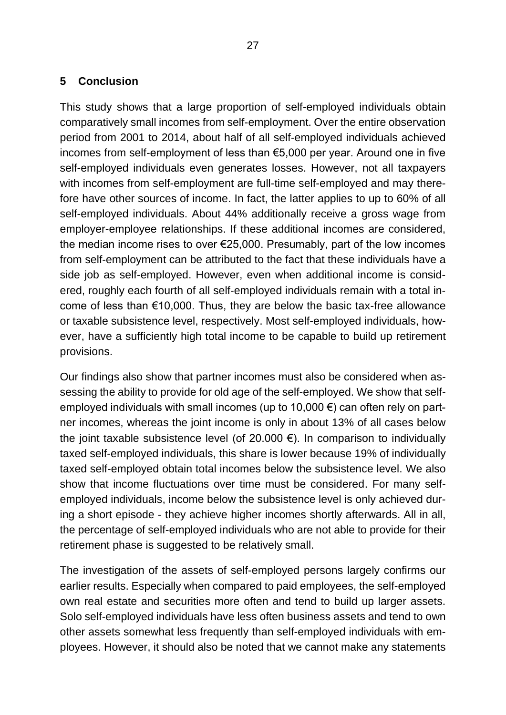#### <span id="page-36-0"></span>**5 Conclusion**

This study shows that a large proportion of self-employed individuals obtain comparatively small incomes from self-employment. Over the entire observation period from 2001 to 2014, about half of all self-employed individuals achieved incomes from self-employment of less than €5,000 per year. Around one in five self-employed individuals even generates losses. However, not all taxpayers with incomes from self-employment are full-time self-employed and may therefore have other sources of income. In fact, the latter applies to up to 60% of all self-employed individuals. About 44% additionally receive a gross wage from employer-employee relationships. If these additional incomes are considered, the median income rises to over €25,000. Presumably, part of the low incomes from self-employment can be attributed to the fact that these individuals have a side job as self-employed. However, even when additional income is considered, roughly each fourth of all self-employed individuals remain with a total income of less than €10,000. Thus, they are below the basic tax-free allowance or taxable subsistence level, respectively. Most self-employed individuals, however, have a sufficiently high total income to be capable to build up retirement provisions.

Our findings also show that partner incomes must also be considered when assessing the ability to provide for old age of the self-employed. We show that selfemployed individuals with small incomes (up to 10,000  $\epsilon$ ) can often rely on partner incomes, whereas the joint income is only in about 13% of all cases below the joint taxable subsistence level (of 20.000  $\epsilon$ ). In comparison to individually taxed self-employed individuals, this share is lower because 19% of individually taxed self-employed obtain total incomes below the subsistence level. We also show that income fluctuations over time must be considered. For many selfemployed individuals, income below the subsistence level is only achieved during a short episode - they achieve higher incomes shortly afterwards. All in all, the percentage of self-employed individuals who are not able to provide for their retirement phase is suggested to be relatively small.

The investigation of the assets of self-employed persons largely confirms our earlier results. Especially when compared to paid employees, the self-employed own real estate and securities more often and tend to build up larger assets. Solo self-employed individuals have less often business assets and tend to own other assets somewhat less frequently than self-employed individuals with employees. However, it should also be noted that we cannot make any statements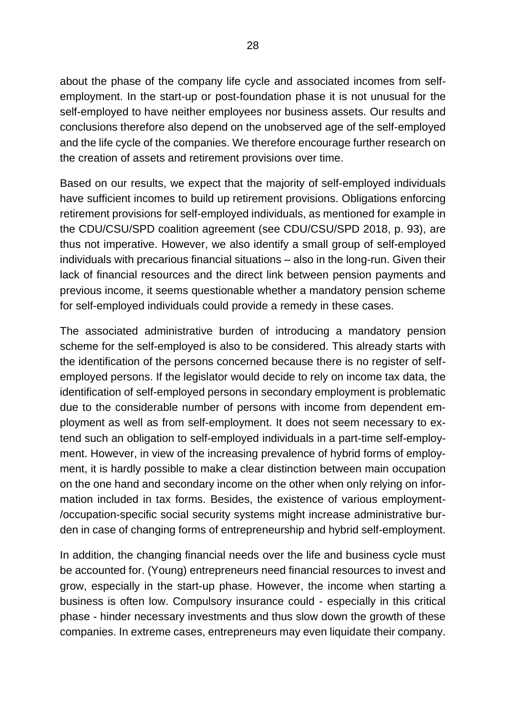about the phase of the company life cycle and associated incomes from selfemployment. In the start-up or post-foundation phase it is not unusual for the self-employed to have neither employees nor business assets. Our results and conclusions therefore also depend on the unobserved age of the self-employed and the life cycle of the companies. We therefore encourage further research on the creation of assets and retirement provisions over time.

Based on our results, we expect that the majority of self-employed individuals have sufficient incomes to build up retirement provisions. Obligations enforcing retirement provisions for self-employed individuals, as mentioned for example in the CDU/CSU/SPD coalition agreement (see CDU/CSU/SPD 2018, p. 93), are thus not imperative. However, we also identify a small group of self-employed individuals with precarious financial situations – also in the long-run. Given their lack of financial resources and the direct link between pension payments and previous income, it seems questionable whether a mandatory pension scheme for self-employed individuals could provide a remedy in these cases.

The associated administrative burden of introducing a mandatory pension scheme for the self-employed is also to be considered. This already starts with the identification of the persons concerned because there is no register of selfemployed persons. If the legislator would decide to rely on income tax data, the identification of self-employed persons in secondary employment is problematic due to the considerable number of persons with income from dependent employment as well as from self-employment. It does not seem necessary to extend such an obligation to self-employed individuals in a part-time self-employment. However, in view of the increasing prevalence of hybrid forms of employment, it is hardly possible to make a clear distinction between main occupation on the one hand and secondary income on the other when only relying on information included in tax forms. Besides, the existence of various employment- /occupation-specific social security systems might increase administrative burden in case of changing forms of entrepreneurship and hybrid self-employment.

In addition, the changing financial needs over the life and business cycle must be accounted for. (Young) entrepreneurs need financial resources to invest and grow, especially in the start-up phase. However, the income when starting a business is often low. Compulsory insurance could - especially in this critical phase - hinder necessary investments and thus slow down the growth of these companies. In extreme cases, entrepreneurs may even liquidate their company.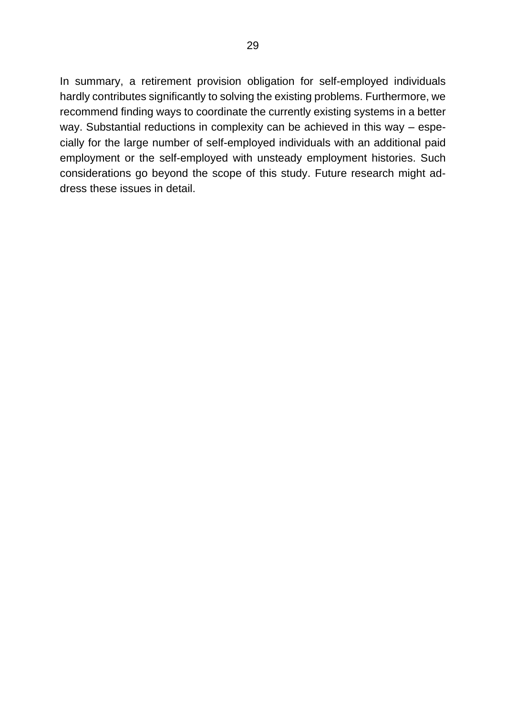In summary, a retirement provision obligation for self-employed individuals hardly contributes significantly to solving the existing problems. Furthermore, we recommend finding ways to coordinate the currently existing systems in a better way. Substantial reductions in complexity can be achieved in this way – especially for the large number of self-employed individuals with an additional paid employment or the self-employed with unsteady employment histories. Such considerations go beyond the scope of this study. Future research might address these issues in detail.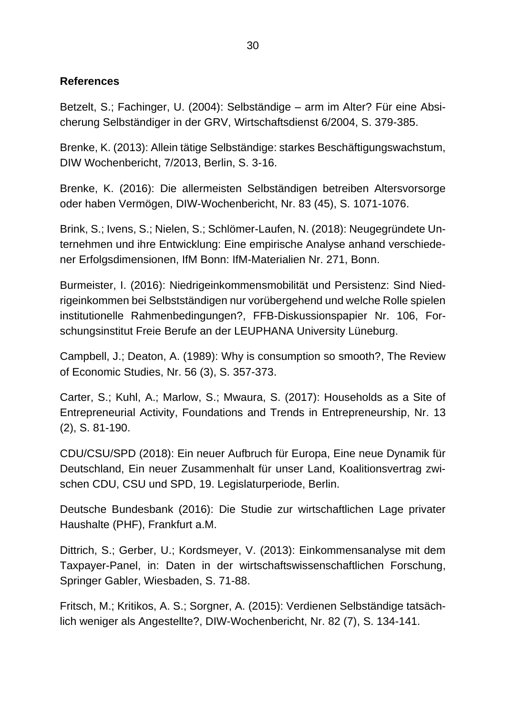#### <span id="page-39-0"></span>**References**

Betzelt, S.; Fachinger, U. (2004): Selbständige – arm im Alter? Für eine Absicherung Selbständiger in der GRV, Wirtschaftsdienst 6/2004, S. 379-385.

Brenke, K. (2013): Allein tätige Selbständige: starkes Beschäftigungswachstum, DIW Wochenbericht, 7/2013, Berlin, S. 3-16.

Brenke, K. (2016): Die allermeisten Selbständigen betreiben Altersvorsorge oder haben Vermögen, DIW-Wochenbericht, Nr. 83 (45), S. 1071-1076.

Brink, S.; Ivens, S.; Nielen, S.; Schlömer-Laufen, N. (2018): Neugegründete Unternehmen und ihre Entwicklung: Eine empirische Analyse anhand verschiedener Erfolgsdimensionen, IfM Bonn: IfM-Materialien Nr. 271, Bonn.

Burmeister, I. (2016): Niedrigeinkommensmobilität und Persistenz: Sind Niedrigeinkommen bei Selbstständigen nur vorübergehend und welche Rolle spielen institutionelle Rahmenbedingungen?, FFB-Diskussionspapier Nr. 106, Forschungsinstitut Freie Berufe an der LEUPHANA University Lüneburg.

Campbell, J.; Deaton, A. (1989): Why is consumption so smooth?, The Review of Economic Studies, Nr. 56 (3), S. 357-373.

Carter, S.; Kuhl, A.; Marlow, S.; Mwaura, S. (2017): Households as a Site of Entrepreneurial Activity, Foundations and Trends in Entrepreneurship, Nr. 13 (2), S. 81-190.

CDU/CSU/SPD (2018): Ein neuer Aufbruch für Europa, Eine neue Dynamik für Deutschland, Ein neuer Zusammenhalt für unser Land, Koalitionsvertrag zwischen CDU, CSU und SPD, 19. Legislaturperiode, Berlin.

Deutsche Bundesbank (2016): Die Studie zur wirtschaftlichen Lage privater Haushalte (PHF), Frankfurt a.M.

Dittrich, S.; Gerber, U.; Kordsmeyer, V. (2013): Einkommensanalyse mit dem Taxpayer-Panel, in: Daten in der wirtschaftswissenschaftlichen Forschung, Springer Gabler, Wiesbaden, S. 71-88.

Fritsch, M.; Kritikos, A. S.; Sorgner, A. (2015): Verdienen Selbständige tatsächlich weniger als Angestellte?, DIW-Wochenbericht, Nr. 82 (7), S. 134-141.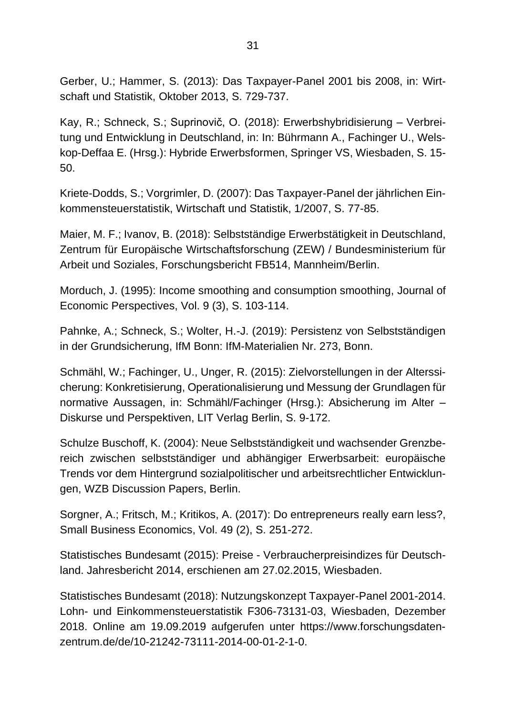Gerber, U.; Hammer, S. (2013): Das Taxpayer-Panel 2001 bis 2008, in: Wirtschaft und Statistik, Oktober 2013, S. 729-737.

Kay, R.; Schneck, S.; Suprinovič, O. (2018): Erwerbshybridisierung – Verbreitung und Entwicklung in Deutschland, in: In: Bührmann A., Fachinger U., Welskop-Deffaa E. (Hrsg.): Hybride Erwerbsformen, Springer VS, Wiesbaden, S. 15- 50.

Kriete-Dodds, S.; Vorgrimler, D. (2007): Das Taxpayer-Panel der jährlichen Einkommensteuerstatistik, Wirtschaft und Statistik, 1/2007, S. 77-85.

Maier, M. F.; Ivanov, B. (2018): Selbstständige Erwerbstätigkeit in Deutschland, Zentrum für Europäische Wirtschaftsforschung (ZEW) / Bundesministerium für Arbeit und Soziales, Forschungsbericht FB514, Mannheim/Berlin.

Morduch, J. (1995): Income smoothing and consumption smoothing, Journal of Economic Perspectives, Vol. 9 (3), S. 103-114.

Pahnke, A.; Schneck, S.; Wolter, H.-J. (2019): Persistenz von Selbstständigen in der Grundsicherung, IfM Bonn: IfM-Materialien Nr. 273, Bonn.

Schmähl, W.; Fachinger, U., Unger, R. (2015): Zielvorstellungen in der Alterssicherung: Konkretisierung, Operationalisierung und Messung der Grundlagen für normative Aussagen, in: Schmähl/Fachinger (Hrsg.): Absicherung im Alter – Diskurse und Perspektiven, LIT Verlag Berlin, S. 9-172.

Schulze Buschoff, K. (2004): Neue Selbstständigkeit und wachsender Grenzbereich zwischen selbstständiger und abhängiger Erwerbsarbeit: europäische Trends vor dem Hintergrund sozialpolitischer und arbeitsrechtlicher Entwicklungen, WZB Discussion Papers, Berlin.

Sorgner, A.; Fritsch, M.; Kritikos, A. (2017): Do entrepreneurs really earn less?, Small Business Economics, Vol. 49 (2), S. 251-272.

Statistisches Bundesamt (2015): Preise - Verbraucherpreisindizes für Deutschland. Jahresbericht 2014, erschienen am 27.02.2015, Wiesbaden.

Statistisches Bundesamt (2018): Nutzungskonzept Taxpayer-Panel 2001-2014. Lohn- und Einkommensteuerstatistik F306-73131-03, Wiesbaden, Dezember 2018. Online am 19.09.2019 aufgerufen unter https://www.forschungsdatenzentrum.de/de/10-21242-73111-2014-00-01-2-1-0.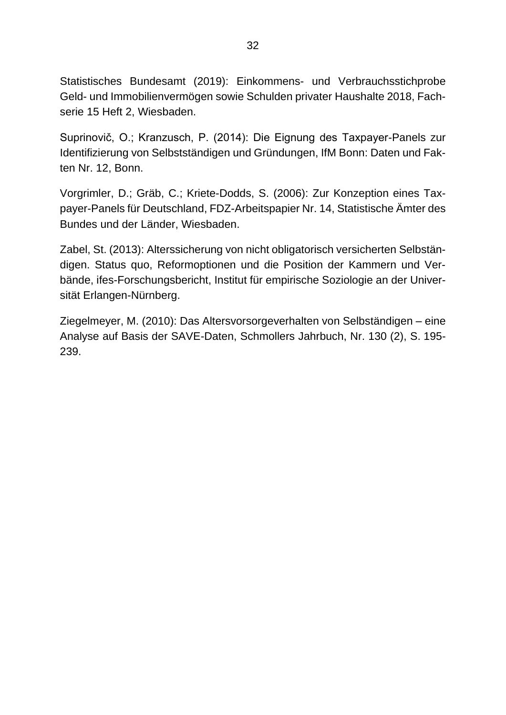Statistisches Bundesamt (2019): Einkommens- und Verbrauchsstichprobe Geld- und Immobilienvermögen sowie Schulden privater Haushalte 2018, Fachserie 15 Heft 2, Wiesbaden.

Suprinovič, O.; Kranzusch, P. (2014): Die Eignung des Taxpayer-Panels zur Identifizierung von Selbstständigen und Gründungen, IfM Bonn: Daten und Fakten Nr. 12, Bonn.

Vorgrimler, D.; Gräb, C.; Kriete-Dodds, S. (2006): Zur Konzeption eines Taxpayer-Panels für Deutschland, FDZ-Arbeitspapier Nr. 14, Statistische Ämter des Bundes und der Länder, Wiesbaden.

Zabel, St. (2013): Alterssicherung von nicht obligatorisch versicherten Selbständigen. Status quo, Reformoptionen und die Position der Kammern und Verbände, ifes-Forschungsbericht, Institut für empirische Soziologie an der Universität Erlangen-Nürnberg.

Ziegelmeyer, M. (2010): Das Altersvorsorgeverhalten von Selbständigen – eine Analyse auf Basis der SAVE-Daten, Schmollers Jahrbuch, Nr. 130 (2), S. 195- 239.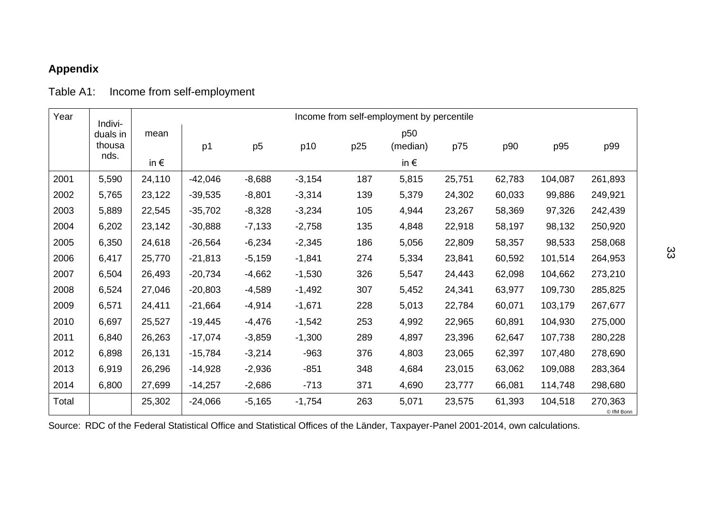## **Appendix**

#### Table A1: Income from self-employment

<span id="page-42-0"></span>

| Year  | Indivi-  | Income from self-employment by percentile |           |                |          |     |               |        |        |         |                       |  |
|-------|----------|-------------------------------------------|-----------|----------------|----------|-----|---------------|--------|--------|---------|-----------------------|--|
|       | duals in | mean                                      |           |                |          |     | p50           |        |        |         |                       |  |
|       | thousa   |                                           | p1        | p <sub>5</sub> | p10      | p25 | (median)      | p75    | p90    | p95     | p99                   |  |
|       | nds.     | in $\epsilon$                             |           |                |          |     | in $\epsilon$ |        |        |         |                       |  |
| 2001  | 5,590    | 24,110                                    | $-42,046$ | $-8,688$       | $-3,154$ | 187 | 5,815         | 25,751 | 62,783 | 104,087 | 261,893               |  |
| 2002  | 5,765    | 23,122                                    | $-39,535$ | $-8,801$       | $-3,314$ | 139 | 5,379         | 24,302 | 60,033 | 99,886  | 249,921               |  |
| 2003  | 5,889    | 22,545                                    | $-35,702$ | $-8,328$       | $-3,234$ | 105 | 4,944         | 23,267 | 58,369 | 97,326  | 242,439               |  |
| 2004  | 6,202    | 23,142                                    | $-30,888$ | $-7,133$       | $-2,758$ | 135 | 4,848         | 22,918 | 58,197 | 98,132  | 250,920               |  |
| 2005  | 6,350    | 24,618                                    | $-26,564$ | $-6,234$       | $-2,345$ | 186 | 5,056         | 22,809 | 58,357 | 98,533  | 258,068               |  |
| 2006  | 6,417    | 25,770                                    | $-21,813$ | $-5,159$       | $-1,841$ | 274 | 5,334         | 23,841 | 60,592 | 101,514 | 264,953               |  |
| 2007  | 6,504    | 26,493                                    | $-20,734$ | $-4,662$       | $-1,530$ | 326 | 5,547         | 24,443 | 62,098 | 104,662 | 273,210               |  |
| 2008  | 6,524    | 27,046                                    | $-20,803$ | $-4,589$       | $-1,492$ | 307 | 5,452         | 24,341 | 63,977 | 109,730 | 285,825               |  |
| 2009  | 6,571    | 24,411                                    | $-21,664$ | $-4,914$       | $-1,671$ | 228 | 5,013         | 22,784 | 60,071 | 103,179 | 267,677               |  |
| 2010  | 6,697    | 25,527                                    | $-19,445$ | $-4,476$       | $-1,542$ | 253 | 4,992         | 22,965 | 60,891 | 104,930 | 275,000               |  |
| 2011  | 6,840    | 26,263                                    | $-17,074$ | $-3,859$       | $-1,300$ | 289 | 4,897         | 23,396 | 62,647 | 107,738 | 280,228               |  |
| 2012  | 6,898    | 26,131                                    | $-15,784$ | $-3,214$       | $-963$   | 376 | 4,803         | 23,065 | 62,397 | 107,480 | 278,690               |  |
| 2013  | 6,919    | 26,296                                    | $-14,928$ | $-2,936$       | $-851$   | 348 | 4,684         | 23,015 | 63,062 | 109,088 | 283,364               |  |
| 2014  | 6,800    | 27,699                                    | $-14,257$ | $-2,686$       | $-713$   | 371 | 4,690         | 23,777 | 66,081 | 114,748 | 298,680               |  |
| Total |          | 25,302                                    | $-24,066$ | $-5,165$       | $-1,754$ | 263 | 5,071         | 23,575 | 61,393 | 104,518 | 270,363<br>© IfM Bonn |  |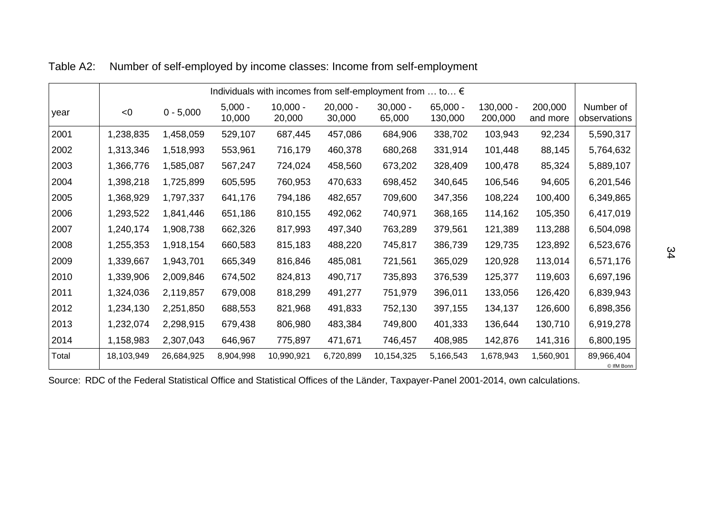|       | Individuals with incomes from self-employment from  to € |             |                     |                      |                      |                      |                       |                        |                     |                           |  |
|-------|----------------------------------------------------------|-------------|---------------------|----------------------|----------------------|----------------------|-----------------------|------------------------|---------------------|---------------------------|--|
| year  | < 0                                                      | $0 - 5,000$ | $5,000 -$<br>10,000 | $10,000 -$<br>20,000 | $20,000 -$<br>30,000 | $30,000 -$<br>65,000 | $65,000 -$<br>130,000 | $130,000 -$<br>200,000 | 200,000<br>and more | Number of<br>observations |  |
| 2001  | 1,238,835                                                | 1,458,059   | 529,107             | 687,445              | 457,086              | 684,906              | 338,702               | 103,943                | 92,234              | 5,590,317                 |  |
| 2002  | 1,313,346                                                | 1,518,993   | 553,961             | 716,179              | 460,378              | 680,268              | 331,914               | 101,448                | 88,145              | 5,764,632                 |  |
| 2003  | 1,366,776                                                | 1,585,087   | 567,247             | 724,024              | 458,560              | 673,202              | 328,409               | 100,478                | 85,324              | 5,889,107                 |  |
| 2004  | 1,398,218                                                | 1,725,899   | 605,595             | 760,953              | 470,633              | 698,452              | 340,645               | 106,546                | 94,605              | 6,201,546                 |  |
| 2005  | 1,368,929                                                | 1,797,337   | 641,176             | 794,186              | 482,657              | 709,600              | 347,356               | 108,224                | 100,400             | 6,349,865                 |  |
| 2006  | 1,293,522                                                | 1,841,446   | 651,186             | 810,155              | 492,062              | 740,971              | 368,165               | 114,162                | 105,350             | 6,417,019                 |  |
| 2007  | 1,240,174                                                | 1,908,738   | 662,326             | 817,993              | 497,340              | 763,289              | 379,561               | 121,389                | 113,288             | 6,504,098                 |  |
| 2008  | 1,255,353                                                | 1,918,154   | 660,583             | 815,183              | 488,220              | 745,817              | 386,739               | 129,735                | 123,892             | 6,523,676                 |  |
| 2009  | 1,339,667                                                | 1,943,701   | 665,349             | 816,846              | 485,081              | 721,561              | 365,029               | 120,928                | 113,014             | 6,571,176                 |  |
| 2010  | 1,339,906                                                | 2,009,846   | 674,502             | 824,813              | 490,717              | 735,893              | 376,539               | 125,377                | 119,603             | 6,697,196                 |  |
| 2011  | 1,324,036                                                | 2,119,857   | 679,008             | 818,299              | 491,277              | 751,979              | 396,011               | 133,056                | 126,420             | 6,839,943                 |  |
| 2012  | 1,234,130                                                | 2,251,850   | 688,553             | 821,968              | 491,833              | 752,130              | 397,155               | 134,137                | 126,600             | 6,898,356                 |  |
| 2013  | 1,232,074                                                | 2,298,915   | 679,438             | 806,980              | 483,384              | 749,800              | 401,333               | 136,644                | 130,710             | 6,919,278                 |  |
| 2014  | 1,158,983                                                | 2,307,043   | 646,967             | 775,897              | 471,671              | 746,457              | 408,985               | 142,876                | 141,316             | 6,800,195                 |  |
| Total | 18,103,949                                               | 26,684,925  | 8,904,998           | 10,990,921           | 6,720,899            | 10,154,325           | 5,166,543             | 1,678,943              | 1,560,901           | 89,966,404<br>© IfM Bonn  |  |

Table A2: Number of self-employed by income classes: Income from self-employment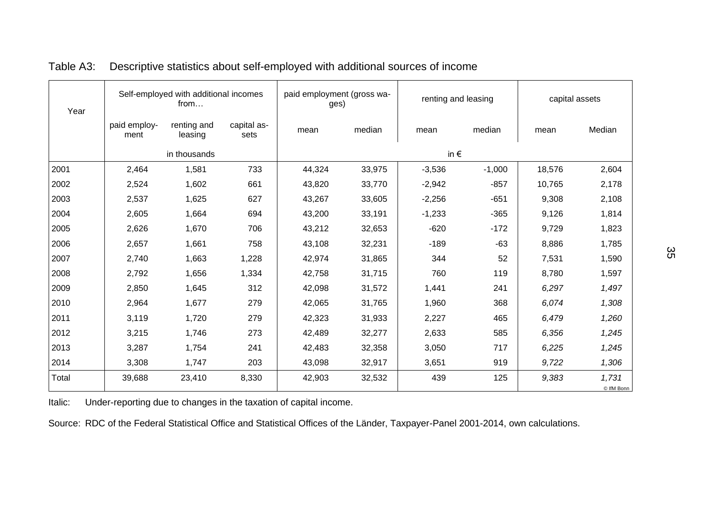| Year  | Self-employed with additional incomes<br>from |                        |                     | paid employment (gross wa-<br>ges) |        | renting and leasing |          | capital assets |                     |
|-------|-----------------------------------------------|------------------------|---------------------|------------------------------------|--------|---------------------|----------|----------------|---------------------|
|       | paid employ-<br>ment                          | renting and<br>leasing | capital as-<br>sets | mean                               | median | mean                | median   | mean           | Median              |
|       |                                               | in thousands           |                     |                                    |        | in $\epsilon$       |          |                |                     |
| 2001  | 2,464                                         | 1,581                  | 733                 | 44,324                             | 33,975 | $-3,536$            | $-1,000$ | 18,576         | 2,604               |
| 2002  | 2,524                                         | 1,602                  | 661                 | 43,820                             | 33,770 | $-2,942$            | $-857$   | 10,765         | 2,178               |
| 2003  | 2,537                                         | 1,625                  | 627                 | 43,267                             | 33,605 | $-2,256$            | $-651$   | 9,308          | 2,108               |
| 2004  | 2,605                                         | 1,664                  | 694                 | 43,200                             | 33,191 | $-1,233$            | $-365$   | 9,126          | 1,814               |
| 2005  | 2,626                                         | 1,670                  | 706                 | 43,212                             | 32,653 | $-620$              | $-172$   | 9,729          | 1,823               |
| 2006  | 2,657                                         | 1,661                  | 758                 | 43,108                             | 32,231 | $-189$              | $-63$    | 8,886          | 1,785               |
| 2007  | 2,740                                         | 1,663                  | 1,228               | 42,974                             | 31,865 | 344                 | 52       | 7,531          | 1,590               |
| 2008  | 2,792                                         | 1,656                  | 1,334               | 42,758                             | 31,715 | 760                 | 119      | 8,780          | 1,597               |
| 2009  | 2,850                                         | 1,645                  | 312                 | 42,098                             | 31,572 | 1,441               | 241      | 6,297          | 1,497               |
| 2010  | 2,964                                         | 1,677                  | 279                 | 42,065                             | 31,765 | 1,960               | 368      | 6,074          | 1,308               |
| 2011  | 3,119                                         | 1,720                  | 279                 | 42,323                             | 31,933 | 2,227               | 465      | 6,479          | 1,260               |
| 2012  | 3,215                                         | 1,746                  | 273                 | 42,489                             | 32,277 | 2,633               | 585      | 6,356          | 1,245               |
| 2013  | 3,287                                         | 1,754                  | 241                 | 42,483                             | 32,358 | 3,050               | 717      | 6,225          | 1,245               |
| 2014  | 3,308                                         | 1,747                  | 203                 | 43,098                             | 32,917 | 3,651               | 919      | 9,722          | 1,306               |
| Total | 39,688                                        | 23,410                 | 8,330               | 42,903                             | 32,532 | 439                 | 125      | 9,383          | 1,731<br>© IfM Bonn |

#### Table A3: Descriptive statistics about self-employed with additional sources of income

Italic: Under-reporting due to changes in the taxation of capital income.